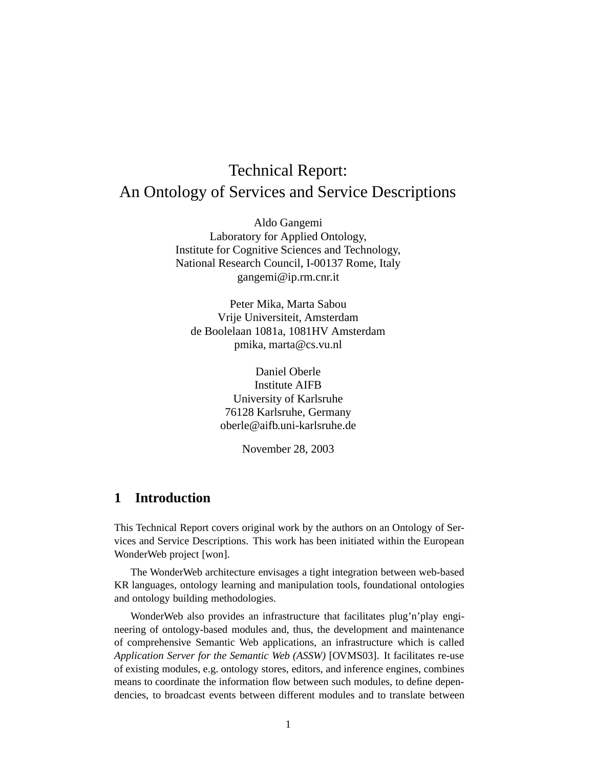# Technical Report: An Ontology of Services and Service Descriptions

Aldo Gangemi Laboratory for Applied Ontology, Institute for Cognitive Sciences and Technology, National Research Council, I-00137 Rome, Italy gangemi@ip.rm.cnr.it

Peter Mika, Marta Sabou Vrije Universiteit, Amsterdam de Boolelaan 1081a, 1081HV Amsterdam pmika, marta@cs.vu.nl

> Daniel Oberle Institute AIFB University of Karlsruhe 76128 Karlsruhe, Germany oberle@aifb.uni-karlsruhe.de

> > November 28, 2003

# **1 Introduction**

This Technical Report covers original work by the authors on an Ontology of Services and Service Descriptions. This work has been initiated within the European WonderWeb project [won].

The WonderWeb architecture envisages a tight integration between web-based KR languages, ontology learning and manipulation tools, foundational ontologies and ontology building methodologies.

WonderWeb also provides an infrastructure that facilitates plug'n'play engineering of ontology-based modules and, thus, the development and maintenance of comprehensive Semantic Web applications, an infrastructure which is called *Application Server for the Semantic Web (ASSW)* [OVMS03]. It facilitates re-use of existing modules, e.g. ontology stores, editors, and inference engines, combines means to coordinate the information flow between such modules, to define dependencies, to broadcast events between different modules and to translate between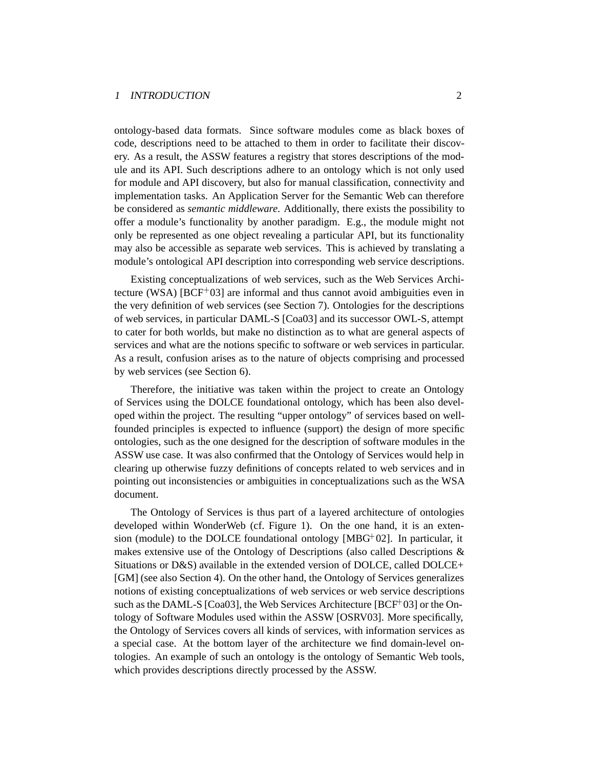ontology-based data formats. Since software modules come as black boxes of code, descriptions need to be attached to them in order to facilitate their discovery. As a result, the ASSW features a registry that stores descriptions of the module and its API. Such descriptions adhere to an ontology which is not only used for module and API discovery, but also for manual classification, connectivity and implementation tasks. An Application Server for the Semantic Web can therefore be considered as *semantic middleware*. Additionally, there exists the possibility to offer a module's functionality by another paradigm. E.g., the module might not only be represented as one object revealing a particular API, but its functionality may also be accessible as separate web services. This is achieved by translating a module's ontological API description into corresponding web service descriptions.

Existing conceptualizations of web services, such as the Web Services Architecture (WSA) [BCF<sup>+</sup> 03] are informal and thus cannot avoid ambiguities even in the very definition of web services (see Section 7). Ontologies for the descriptions of web services, in particular DAML-S [Coa03] and its successor OWL-S, attempt to cater for both worlds, but make no distinction as to what are general aspects of services and what are the notions specific to software or web services in particular. As a result, confusion arises as to the nature of objects comprising and processed by web services (see Section 6).

Therefore, the initiative was taken within the project to create an Ontology of Services using the DOLCE foundational ontology, which has been also developed within the project. The resulting "upper ontology" of services based on wellfounded principles is expected to influence (support) the design of more specific ontologies, such as the one designed for the description of software modules in the ASSW use case. It was also confirmed that the Ontology of Services would help in clearing up otherwise fuzzy definitions of concepts related to web services and in pointing out inconsistencies or ambiguities in conceptualizations such as the WSA document.

The Ontology of Services is thus part of a layered architecture of ontologies developed within WonderWeb (cf. Figure 1). On the one hand, it is an extension (module) to the DOLCE foundational ontology [MBG<sup>+</sup>02]. In particular, it makes extensive use of the Ontology of Descriptions (also called Descriptions & Situations or D&S) available in the extended version of DOLCE, called DOLCE+ [GM] (see also Section 4). On the other hand, the Ontology of Services generalizes notions of existing conceptualizations of web services or web service descriptions such as the DAML-S [Coa03], the Web Services Architecture [BCF<sup>+</sup> 03] or the Ontology of Software Modules used within the ASSW [OSRV03]. More specifically, the Ontology of Services covers all kinds of services, with information services as a special case. At the bottom layer of the architecture we find domain-level ontologies. An example of such an ontology is the ontology of Semantic Web tools, which provides descriptions directly processed by the ASSW.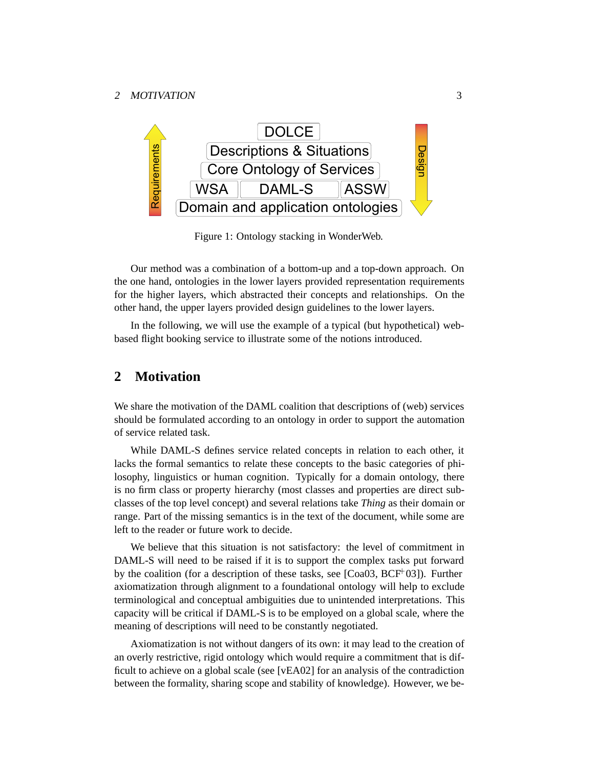

Figure 1: Ontology stacking in WonderWeb.

Our method was a combination of a bottom-up and a top-down approach. On the one hand, ontologies in the lower layers provided representation requirements for the higher layers, which abstracted their concepts and relationships. On the other hand, the upper layers provided design guidelines to the lower layers.

In the following, we will use the example of a typical (but hypothetical) webbased flight booking service to illustrate some of the notions introduced.

### **2 Motivation**

We share the motivation of the DAML coalition that descriptions of (web) services should be formulated according to an ontology in order to support the automation of service related task.

While DAML-S defines service related concepts in relation to each other, it lacks the formal semantics to relate these concepts to the basic categories of philosophy, linguistics or human cognition. Typically for a domain ontology, there is no firm class or property hierarchy (most classes and properties are direct subclasses of the top level concept) and several relations take *Thing* as their domain or range. Part of the missing semantics is in the text of the document, while some are left to the reader or future work to decide.

We believe that this situation is not satisfactory: the level of commitment in DAML-S will need to be raised if it is to support the complex tasks put forward by the coalition (for a description of these tasks, see [Coa03, BCF<sup>+</sup>03]). Further axiomatization through alignment to a foundational ontology will help to exclude terminological and conceptual ambiguities due to unintended interpretations. This capacity will be critical if DAML-S is to be employed on a global scale, where the meaning of descriptions will need to be constantly negotiated.

Axiomatization is not without dangers of its own: it may lead to the creation of an overly restrictive, rigid ontology which would require a commitment that is difficult to achieve on a global scale (see [vEA02] for an analysis of the contradiction between the formality, sharing scope and stability of knowledge). However, we be-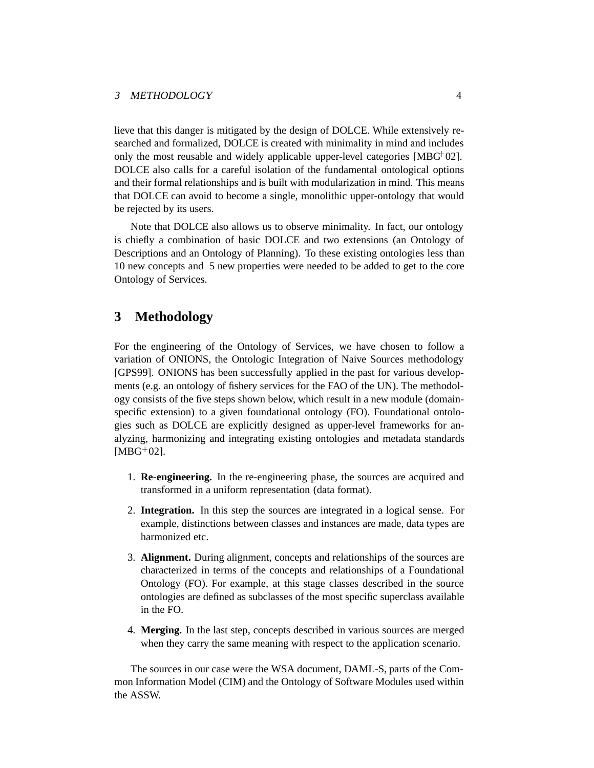### <sup>3</sup> METHODOLOGY 4

lieve that this danger is mitigated by the design of DOLCE. While extensively researched and formalized, DOLCE is created with minimality in mind and includes only the most reusable and widely applicable upper-level categories [MBG<sup>+</sup>02]. DOLCE also calls for a careful isolation of the fundamental ontological options and their formal relationships and is built with modularization in mind. This means that DOLCE can avoid to become a single, monolithic upper-ontology that would be rejected by its users.

Note that DOLCE also allows us to observe minimality. In fact, our ontology is chiefly a combination of basic DOLCE and two extensions (an Ontology of Descriptions and an Ontology of Planning). To these existing ontologies less than 10 new concepts and 5 new properties were needed to be added to get to the core Ontology of Services.

### **3 Methodology**

For the engineering of the Ontology of Services, we have chosen to follow a variation of ONIONS, the Ontologic Integration of Naive Sources methodology [GPS99]. ONIONS has been successfully applied in the past for various developments (e.g. an ontology of fishery services for the FAO of the UN). The methodology consists of the five steps shown below, which result in a new module (domainspecific extension) to a given foundational ontology (FO). Foundational ontologies such as DOLCE are explicitly designed as upper-level frameworks for analyzing, harmonizing and integrating existing ontologies and metadata standards  $[{\rm MBG^+02}].$ 

- 1. **Re-engineering.** In the re-engineering phase, the sources are acquired and transformed in a uniform representation (data format).
- 2. **Integration.** In this step the sources are integrated in a logical sense. For example, distinctions between classes and instances are made, data types are harmonized etc.
- 3. **Alignment.** During alignment, concepts and relationships of the sources are characterized in terms of the concepts and relationships of a Foundational Ontology (FO). For example, at this stage classes described in the source ontologies are defined as subclasses of the most specific superclass available in the FO.
- 4. **Merging.** In the last step, concepts described in various sources are merged when they carry the same meaning with respect to the application scenario.

The sources in our case were the WSA document, DAML-S, parts of the Common Information Model (CIM) and the Ontology of Software Modules used within the ASSW.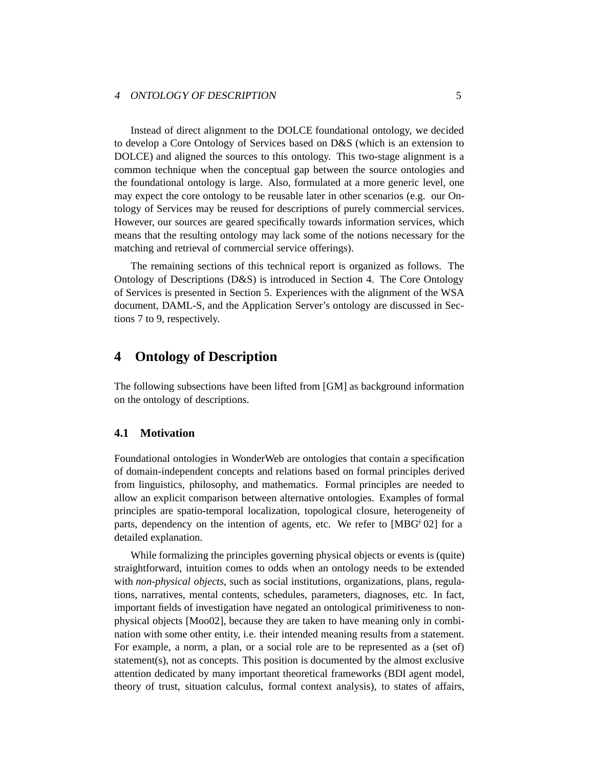### <sup>4</sup> ONTOLOGY OF DESCRIPTION 5

Instead of direct alignment to the DOLCE foundational ontology, we decided to develop a Core Ontology of Services based on D&S (which is an extension to DOLCE) and aligned the sources to this ontology. This two-stage alignment is a common technique when the conceptual gap between the source ontologies and the foundational ontology is large. Also, formulated at a more generic level, one may expect the core ontology to be reusable later in other scenarios (e.g. our Ontology of Services may be reused for descriptions of purely commercial services. However, our sources are geared specifically towards information services, which means that the resulting ontology may lack some of the notions necessary for the matching and retrieval of commercial service offerings).

The remaining sections of this technical report is organized as follows. The Ontology of Descriptions (D&S) is introduced in Section 4. The Core Ontology of Services is presented in Section 5. Experiences with the alignment of the WSA document, DAML-S, and the Application Server's ontology are discussed in Sections 7 to 9, respectively.

### **4 Ontology of Description**

The following subsections have been lifted from [GM] as background information on the ontology of descriptions.

### **4.1 Motivation**

Foundational ontologies in WonderWeb are ontologies that contain a specification of domain-independent concepts and relations based on formal principles derived from linguistics, philosophy, and mathematics. Formal principles are needed to allow an explicit comparison between alternative ontologies. Examples of formal principles are spatio-temporal localization, topological closure, heterogeneity of parts, dependency on the intention of agents, etc. We refer to [MBG<sup>+</sup>02] for a detailed explanation.

While formalizing the principles governing physical objects or events is (quite) straightforward, intuition comes to odds when an ontology needs to be extended with *non-physical objects*, such as social institutions, organizations, plans, regulations, narratives, mental contents, schedules, parameters, diagnoses, etc. In fact, important fields of investigation have negated an ontological primitiveness to nonphysical objects [Moo02], because they are taken to have meaning only in combination with some other entity, i.e. their intended meaning results from a statement. For example, a norm, a plan, or a social role are to be represented as a (set of) statement(s), not as concepts. This position is documented by the almost exclusive attention dedicated by many important theoretical frameworks (BDI agent model, theory of trust, situation calculus, formal context analysis), to states of affairs,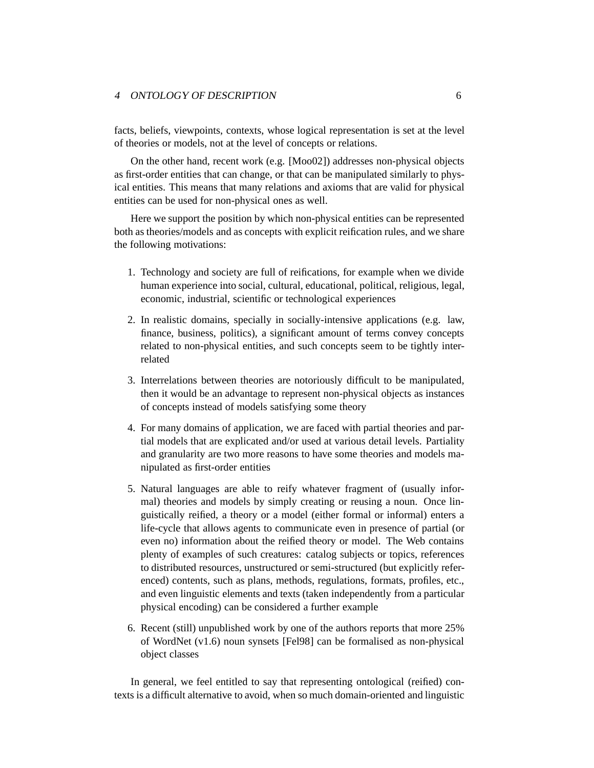### <sup>4</sup> ONTOLOGY OF DESCRIPTION 6

facts, beliefs, viewpoints, contexts, whose logical representation is set at the level of theories or models, not at the level of concepts or relations.

On the other hand, recent work (e.g. [Moo02]) addresses non-physical objects as first-order entities that can change, or that can be manipulated similarly to physical entities. This means that many relations and axioms that are valid for physical entities can be used for non-physical ones as well.

Here we support the position by which non-physical entities can be represented both as theories/models and as concepts with explicit reification rules, and we share the following motivations:

- 1. Technology and society are full of reifications, for example when we divide human experience into social, cultural, educational, political, religious, legal, economic, industrial, scientific or technological experiences
- 2. In realistic domains, specially in socially-intensive applications (e.g. law, finance, business, politics), a significant amount of terms convey concepts related to non-physical entities, and such concepts seem to be tightly interrelated
- 3. Interrelations between theories are notoriously difficult to be manipulated, then it would be an advantage to represent non-physical objects as instances of concepts instead of models satisfying some theory
- 4. For many domains of application, we are faced with partial theories and partial models that are explicated and/or used at various detail levels. Partiality and granularity are two more reasons to have some theories and models manipulated as first-order entities
- 5. Natural languages are able to reify whatever fragment of (usually informal) theories and models by simply creating or reusing a noun. Once linguistically reified, a theory or a model (either formal or informal) enters a life-cycle that allows agents to communicate even in presence of partial (or even no) information about the reified theory or model. The Web contains plenty of examples of such creatures: catalog subjects or topics, references to distributed resources, unstructured or semi-structured (but explicitly referenced) contents, such as plans, methods, regulations, formats, profiles, etc., and even linguistic elements and texts (taken independently from a particular physical encoding) can be considered a further example
- 6. Recent (still) unpublished work by one of the authors reports that more 25% of WordNet (v1.6) noun synsets [Fel98] can be formalised as non-physical object classes

In general, we feel entitled to say that representing ontological (reified) contexts is a difficult alternative to avoid, when so much domain-oriented and linguistic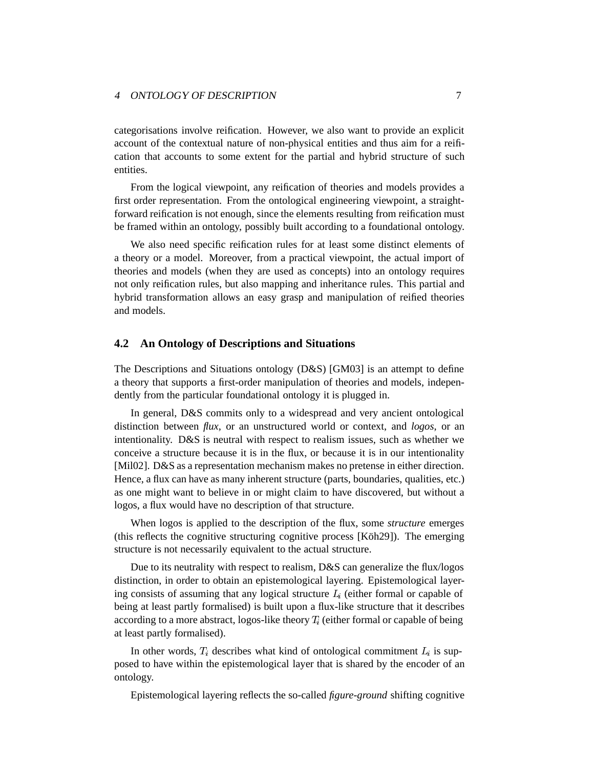categorisations involve reification. However, we also want to provide an explicit account of the contextual nature of non-physical entities and thus aim for a reification that accounts to some extent for the partial and hybrid structure of such entities.

From the logical viewpoint, any reification of theories and models provides a first order representation. From the ontological engineering viewpoint, a straightforward reification is not enough, since the elements resulting from reification must be framed within an ontology, possibly built according to a foundational ontology.

We also need specific reification rules for at least some distinct elements of a theory or a model. Moreover, from a practical viewpoint, the actual import of theories and models (when they are used as concepts) into an ontology requires not only reification rules, but also mapping and inheritance rules. This partial and hybrid transformation allows an easy grasp and manipulation of reified theories and models.

#### **4.2 An Ontology of Descriptions and Situations**

The Descriptions and Situations ontology (D&S) [GM03] is an attempt to define a theory that supports a first-order manipulation of theories and models, independently from the particular foundational ontology it is plugged in.

In general, D&S commits only to a widespread and very ancient ontological distinction between *flux*, or an unstructured world or context, and *logos*, or an intentionality. D&S is neutral with respect to realism issues, such as whether we conceive a structure because it is in the flux, or because it is in our intentionality [Mil02]. D&S as a representation mechanism makes no pretense in either direction. Hence, a flux can have as many inherent structure (parts, boundaries, qualities, etc.) as one might want to believe in or might claim to have discovered, but without a logos, a flux would have no description of that structure.

When logos is applied to the description of the flux, some *structure* emerges (this reflects the cognitive structuring cognitive process  $[K\ddot{o}h29]$ ). The emerging structure is not necessarily equivalent to the actual structure.

Due to its neutrality with respect to realism, D&S can generalize the flux/logos distinction, in order to obtain an epistemological layering. Epistemological layering consists of assuming that any logical structure  $L<sub>i</sub>$  (either formal or capable of being at least partly formalised) is built upon a flux-like structure that it describes according to a more abstract, logos-like theory  $T_i$  (either formal or capable of being at least partly formalised).

In other words,  $T_i$  describes what kind of ontological commitment  $L_i$  is supposed to have within the epistemological layer that is shared by the encoder of an ontology.

Epistemological layering reflects the so-called *figure-ground* shifting cognitive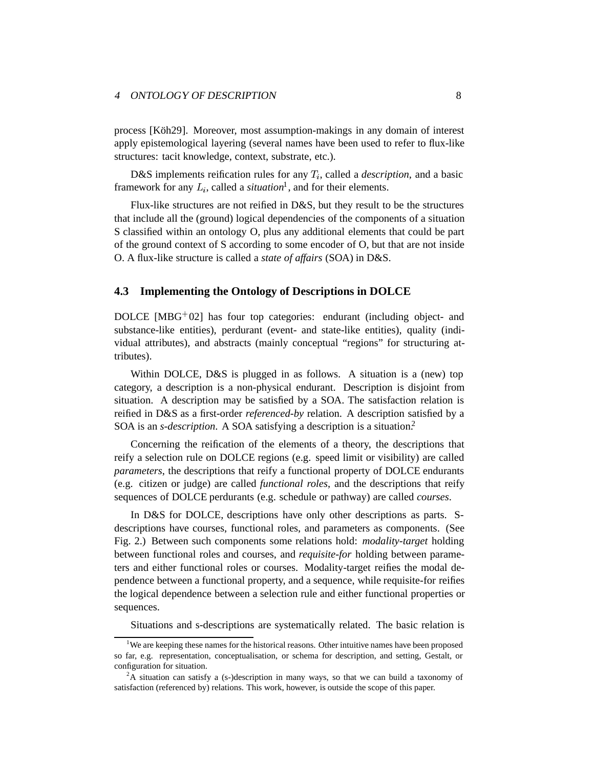### <sup>4</sup> ONTOLOGY OF DESCRIPTION 8

process [Köh29]. Moreover, most assumption-makings in any domain of interest apply epistemological layering (several names have been used to refer to flux-like structures: tacit knowledge, context, substrate, etc.).

D&S implements reification rules for any  $T_i$ , called a *description*, and a basic framework for any  $L_i$ , called a *situation*<sup>1</sup>, and for their elements.

Flux-like structures are not reified in D&S, but they result to be the structures that include all the (ground) logical dependencies of the components of a situation S classified within an ontology O, plus any additional elements that could be part of the ground context of S according to some encoder of O, but that are not inside O. A flux-like structure is called a *state of affairs* (SOA) in D&S.

#### **4.3 Implementing the Ontology of Descriptions in DOLCE**

DOLCE [MBG<sup>+</sup> 02] has four top categories: endurant (including object- and substance-like entities), perdurant (event- and state-like entities), quality (individual attributes), and abstracts (mainly conceptual "regions" for structuring attributes).

Within DOLCE, D&S is plugged in as follows. A situation is a (new) top category, a description is a non-physical endurant. Description is disjoint from situation. A description may be satisfied by a SOA. The satisfaction relation is reified in D&S as a first-order *referenced-by* relation. A description satisfied by a SOA is an *s-description*. A SOA satisfying a description is a situation.<sup>2</sup>

Concerning the reification of the elements of a theory, the descriptions that reify a selection rule on DOLCE regions (e.g. speed limit or visibility) are called *parameters*, the descriptions that reify a functional property of DOLCE endurants (e.g. citizen or judge) are called *functional roles*, and the descriptions that reify sequences of DOLCE perdurants (e.g. schedule or pathway) are called *courses*.

In D&S for DOLCE, descriptions have only other descriptions as parts. Sdescriptions have courses, functional roles, and parameters as components. (See Fig. 2.) Between such components some relations hold: *modality-target* holding between functional roles and courses, and *requisite-for* holding between parameters and either functional roles or courses. Modality-target reifies the modal dependence between a functional property, and a sequence, while requisite-for reifies the logical dependence between a selection rule and either functional properties or sequences.

Situations and s-descriptions are systematically related. The basic relation is

<sup>&</sup>lt;sup>1</sup>We are keeping these names for the historical reasons. Other intuitive names have been proposed so far, e.g. representation, conceptualisation, or schema for description, and setting, Gestalt, or configuration for situation.

 ${}^{2}$ A situation can satisfy a (s-)description in many ways, so that we can build a taxonomy of satisfaction (referenced by) relations. This work, however, is outside the scope of this paper.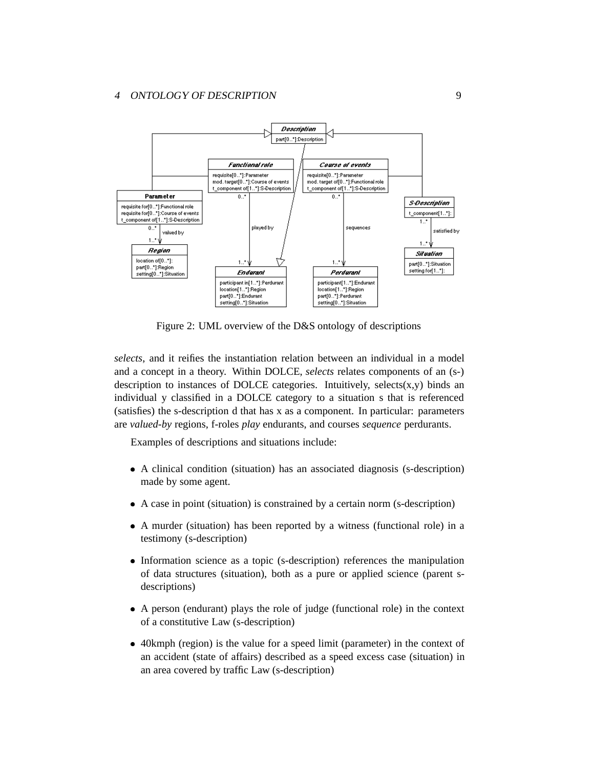

Figure 2: UML overview of the D&S ontology of descriptions

*selects*, and it reifies the instantiation relation between an individual in a model and a concept in a theory. Within DOLCE, *selects* relates components of an (s-) description to instances of DOLCE categories. Intuitively, selects $(x,y)$  binds an individual y classified in a DOLCE category to a situation s that is referenced (satisfies) the s-description d that has x as a component. In particular: parameters are *valued-by* regions, f-roles *play* endurants, and courses *sequence* perdurants.

Examples of descriptions and situations include:

- A clinical condition (situation) has an associated diagnosis (s-description) made by some agent.
- A case in point (situation) is constrained by a certain norm (s-description)
- A murder (situation) has been reported by a witness (functional role) in a testimony (s-description)
- Information science as a topic (s-description) references the manipulation of data structures (situation), both as a pure or applied science (parent sdescriptions)
- A person (endurant) plays the role of judge (functional role) in the context of a constitutive Law (s-description)
- 40kmph (region) is the value for a speed limit (parameter) in the context of an accident (state of affairs) described as a speed excess case (situation) in an area covered by traffic Law (s-description)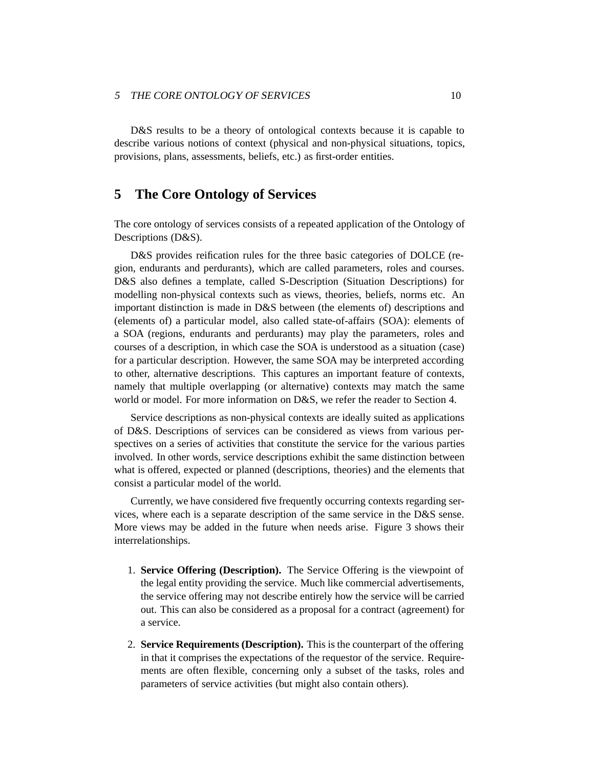### 5 THE CORE ONTOLOGY OF SERVICES 10

D&S results to be a theory of ontological contexts because it is capable to describe various notions of context (physical and non-physical situations, topics, provisions, plans, assessments, beliefs, etc.) as first-order entities.

# **5 The Core Ontology of Services**

The core ontology of services consists of a repeated application of the Ontology of Descriptions (D&S).

D&S provides reification rules for the three basic categories of DOLCE (region, endurants and perdurants), which are called parameters, roles and courses. D&S also defines a template, called S-Description (Situation Descriptions) for modelling non-physical contexts such as views, theories, beliefs, norms etc. An important distinction is made in D&S between (the elements of) descriptions and (elements of) a particular model, also called state-of-affairs (SOA): elements of a SOA (regions, endurants and perdurants) may play the parameters, roles and courses of a description, in which case the SOA is understood as a situation (case) for a particular description. However, the same SOA may be interpreted according to other, alternative descriptions. This captures an important feature of contexts, namely that multiple overlapping (or alternative) contexts may match the same world or model. For more information on D&S, we refer the reader to Section 4.

Service descriptions as non-physical contexts are ideally suited as applications of D&S. Descriptions of services can be considered as views from various perspectives on a series of activities that constitute the service for the various parties involved. In other words, service descriptions exhibit the same distinction between what is offered, expected or planned (descriptions, theories) and the elements that consist a particular model of the world.

Currently, we have considered five frequently occurring contexts regarding services, where each is a separate description of the same service in the D&S sense. More views may be added in the future when needs arise. Figure 3 shows their interrelationships.

- 1. **Service Offering (Description).** The Service Offering is the viewpoint of the legal entity providing the service. Much like commercial advertisements, the service offering may not describe entirely how the service will be carried out. This can also be considered as a proposal for a contract (agreement) for a service.
- 2. **Service Requirements (Description).** This is the counterpart of the offering in that it comprises the expectations of the requestor of the service. Requirements are often flexible, concerning only a subset of the tasks, roles and parameters of service activities (but might also contain others).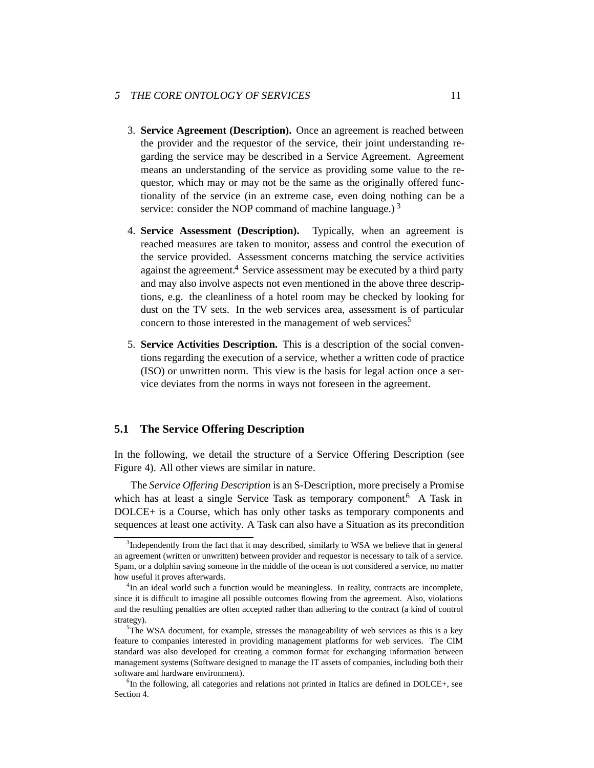### 5 THE CORE ONTOLOGY OF SERVICES 11

- 3. **Service Agreement (Description).** Once an agreement is reached between the provider and the requestor of the service, their joint understanding regarding the service may be described in a Service Agreement. Agreement means an understanding of the service as providing some value to the requestor, which may or may not be the same as the originally offered functionality of the service (in an extreme case, even doing nothing can be a service: consider the NOP command of machine language.)  $3$
- 4. **Service Assessment (Description).** Typically, when an agreement is reached measures are taken to monitor, assess and control the execution of the service provided. Assessment concerns matching the service activities against the agreement.<sup>4</sup> Service assessment may be executed by a third party and may also involve aspects not even mentioned in the above three descriptions, e.g. the cleanliness of a hotel room may be checked by looking for dust on the TV sets. In the web services area, assessment is of particular concern to those interested in the management of web services.<sup>5</sup>
- 5. **Service Activities Description.** This is a description of the social conventions regarding the execution of a service, whether a written code of practice (ISO) or unwritten norm. This view is the basis for legal action once a service deviates from the norms in ways not foreseen in the agreement.

#### **5.1 The Service Offering Description**

In the following, we detail the structure of a Service Offering Description (see Figure 4). All other views are similar in nature.

The *Service Offering Description* is an S-Description, more precisely a Promise which has at least a single Service Task as temporary component.<sup>6</sup> A Task in DOLCE+ is a Course, which has only other tasks as temporary components and sequences at least one activity. A Task can also have a Situation as its precondition

<sup>&</sup>lt;sup>3</sup>Independently from the fact that it may described, similarly to WSA we believe that in general an agreement (written or unwritten) between provider and requestor is necessary to talk of a service. Spam, or a dolphin saving someone in the middle of the ocean is not considered a service, no matter how useful it proves afterwards.

<sup>&</sup>lt;sup>4</sup>In an ideal world such a function would be meaningless. In reality, contracts are incomplete, since it is difficult to imagine all possible outcomes flowing from the agreement. Also, violations and the resulting penalties are often accepted rather than adhering to the contract (a kind of control strategy).

<sup>&</sup>lt;sup>5</sup>The WSA document, for example, stresses the manageability of web services as this is a key feature to companies interested in providing management platforms for web services. The CIM standard was also developed for creating a common format for exchanging information between management systems (Software designed to manage the IT assets of companies, including both their software and hardware environment).

<sup>&</sup>lt;sup>6</sup>In the following, all categories and relations not printed in Italics are defined in DOLCE+, see Section 4.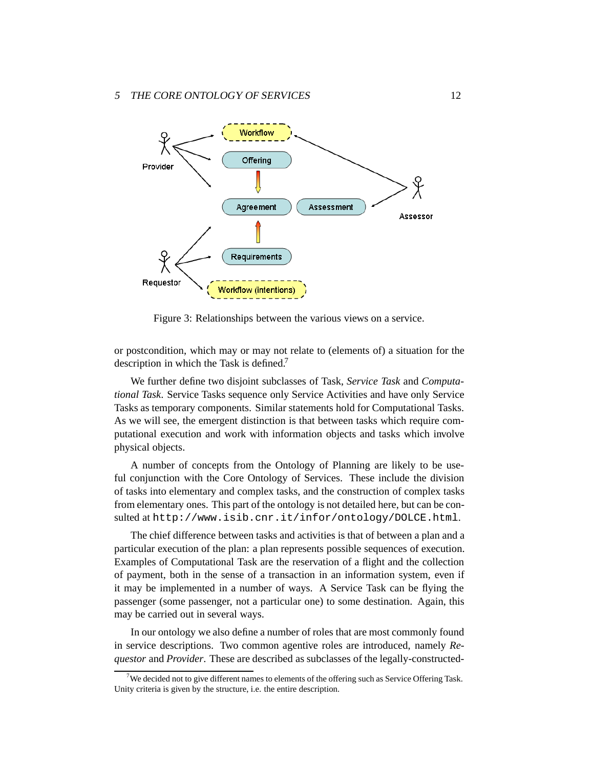

Figure 3: Relationships between the various views on a service.

or postcondition, which may or may not relate to (elements of) a situation for the description in which the Task is defined.<sup>7</sup>

We further define two disjoint subclasses of Task, *Service Task* and *Computational Task*. Service Tasks sequence only Service Activities and have only Service Tasks as temporary components. Similar statements hold for Computational Tasks. As we will see, the emergent distinction is that between tasks which require computational execution and work with information objects and tasks which involve physical objects.

A number of concepts from the Ontology of Planning are likely to be useful conjunction with the Core Ontology of Services. These include the division of tasks into elementary and complex tasks, and the construction of complex tasks from elementary ones. This part of the ontology is not detailed here, but can be consulted at http://www.isib.cnr.it/infor/ontology/DOLCE.html.

The chief difference between tasks and activities is that of between a plan and a particular execution of the plan: a plan represents possible sequences of execution. Examples of Computational Task are the reservation of a flight and the collection of payment, both in the sense of a transaction in an information system, even if it may be implemented in a number of ways. A Service Task can be flying the passenger (some passenger, not a particular one) to some destination. Again, this may be carried out in several ways.

In our ontology we also define a number of roles that are most commonly found in service descriptions. Two common agentive roles are introduced, namely *Requestor* and *Provider*. These are described as subclasses of the legally-constructed-

<sup>&</sup>lt;sup>7</sup>We decided not to give different names to elements of the offering such as Service Offering Task. Unity criteria is given by the structure, i.e. the entire description.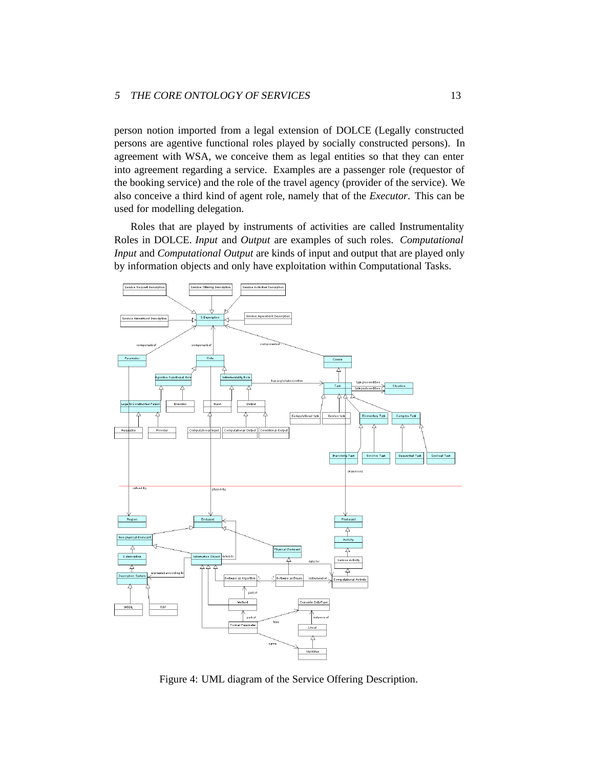### 5 THE CORE ONTOLOGY OF SERVICES 13

person notion imported from a legal extension of DOLCE (Legally constructed persons are agentive functional roles played by socially constructed persons). In agreement with WSA, we conceive them as legal entities so that they can enter into agreement regarding a service. Examples are a passenger role (requestor of the booking service) and the role of the travel agency (provider of the service). We also conceive a third kind of agent role, namely that of the *Executor*. This can be used for modelling delegation.

Roles that are played by instruments of activities are called Instrumentality Roles in DOLCE. *Input* and *Output* are examples of such roles. *Computational Input* and *Computational Output* are kinds of input and output that are played only by information objects and only have exploitation within Computational Tasks.



Figure 4: UML diagram of the Service Offering Description.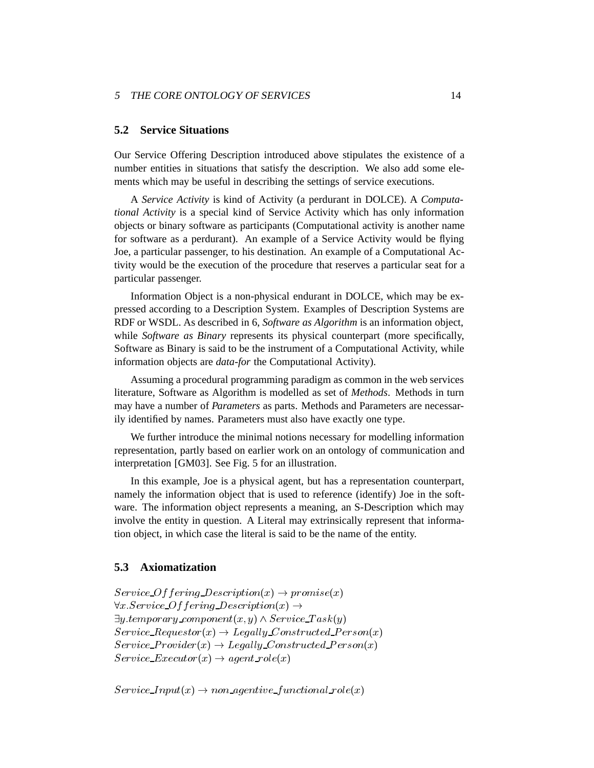### 5 THE CORE ONTOLOGY OF SERVICES 14

### **5.2 Service Situations**

Our Service Offering Description introduced above stipulates the existence of a number entities in situations that satisfy the description. We also add some elements which may be useful in describing the settings of service executions.

A *Service Activity* is kind of Activity (a perdurant in DOLCE). A *Computational Activity* is a special kind of Service Activity which has only information objects or binary software as participants (Computational activity is another name for software as a perdurant). An example of a Service Activity would be flying Joe, a particular passenger, to his destination. An example of a Computational Activity would be the execution of the procedure that reserves a particular seat for a particular passenger.

Information Object is a non-physical endurant in DOLCE, which may be expressed according to a Description System. Examples of Description Systems are RDF or WSDL. As described in 6, *Software as Algorithm* is an information object, while *Software as Binary* represents its physical counterpart (more specifically, Software as Binary is said to be the instrument of a Computational Activity, while information objects are *data-for* the Computational Activity).

Assuming a procedural programming paradigm as common in the web services literature, Software as Algorithm is modelled as set of *Methods*. Methods in turn may have a number of *Parameters* as parts. Methods and Parameters are necessarily identified by names. Parameters must also have exactly one type.

We further introduce the minimal notions necessary for modelling information representation, partly based on earlier work on an ontology of communication and interpretation [GM03]. See Fig. 5 for an illustration.

In this example, Joe is a physical agent, but has a representation counterpart, namely the information object that is used to reference (identify) Joe in the software. The information object represents a meaning, an S-Description which may involve the entity in question. A Literal may extrinsically represent that information object, in which case the literal is said to be the name of the entity.

### **5.3 Axiomatization**

 $Service\_Offering\_Description(x) \rightarrow promise(x)$  $\forall x. Service\_Offering\_Description(x) \rightarrow$  $\exists y. temporary\_component(x, y) \wedge Service\_Task(y)$  $Service\_Requestor(x) \rightarrow Length\_Constructe \& Person(x)$  $Service\_Provider(x) \rightarrow Legally\_Constructed\_Person(x)$  $Service\_Executor(x) \rightarrow agent\_role(x)$ 

 $Service\_Input(x) \rightarrow non\_agentive\_functional\_role(x)$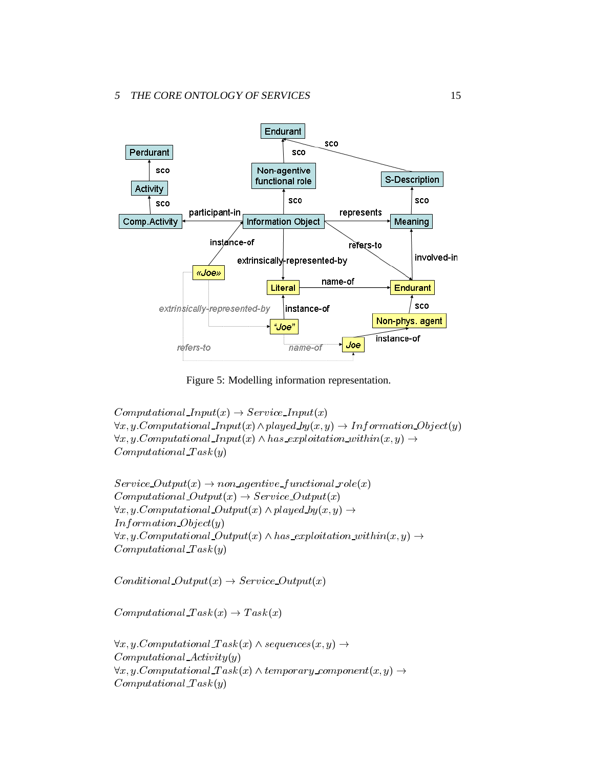

Figure 5: Modelling information representation.

 $Computational\_Input(x) \rightarrow Service\_Input(x)$  $\forall x, y. Computational\_Input(x) \land played_by(x, y) \rightarrow Information\_Object(y)$  $\forall x, y. Computational\_Input(x) \land has\_exploitation\_within(x, y) \rightarrow$  $Computational. Task(y)$ 

 $Service\_Output(x) \rightarrow non\_agentive\_functional\_role(x)$  $Computational\_Output(x) \rightarrow Service\_Output(x)$  $\forall x, y. Computational-Output(x) \land played_by(x, y) \rightarrow$  $Information\_Object(y)$  $\forall x, y. Computational\_Output(x) \land has\_exploitation\_within(x, y) \rightarrow$  $Computational\_Task(y)$ 

 $Conditional\_Output(x) \rightarrow Service\_Output(x)$ 

 $Computational\_Task(x) \rightarrow Task(x)$ 

 $\forall x, y. Computational. Task(x) \wedge sequences(x, y) \rightarrow$  $Computational\_Activity(y)$  $\forall x, y. Computational Task(x) \wedge temporary\ component(x, y) \rightarrow$  $Computational. Task(y)$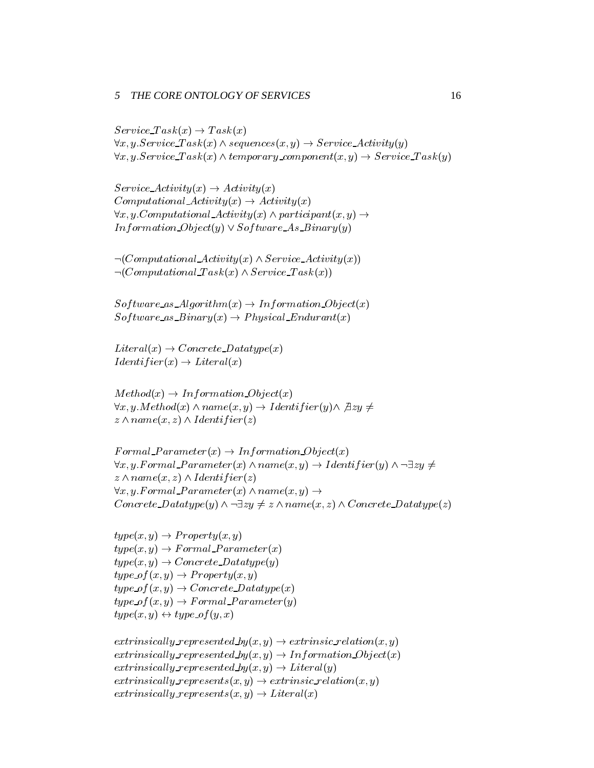### 5 THE CORE ONTOLOGY OF SERVICES 16

 $Service\_Task(x) \rightarrow Task(x)$  $\forall x, y. Service\_Task(x) \land sequences(x, y) \rightarrow Service\_Activity(y)$  $\forall x, y. Service\_Task(x) \land temporary\_component(x, y) \rightarrow Service\_Task(y)$ 

 $Service\_Activity(x) \rightarrow Activity(x)$  $Computational\_Activity(x) \rightarrow Activity(x)$  $\forall x, y. Computational\_Activity(x) \land particular(x, y) \rightarrow$  $Information\_Object(y) \vee Software\_As\_Binary(y)$ 

 $\neg (Computational \_Activity(x) \land Service \_Activity(x))$  $\neg (Computational~Task(x) \wedge Service\_Task(x))$ 

 $Software\_as\_Algorithm(x) \rightarrow Information\_Object(x)$  $Software\_as\_Binary(x) \rightarrow Physical\_Endurant(x)$ 

 $Literal(x) \rightarrow Concrete$   $Datatype(x)$  $Identifier(x) \rightarrow Literal(x)$ 

 $Method(x) \rightarrow Information\_Object(x)$  $\forall x, y. Method(x) \land name(x, y) \rightarrow Identifier(y) \land \nexists zy \neq$  $z \wedge name(x, z) \wedge Identity$ 

 $Formal\_Parameter(x) \rightarrow Information\_Object(x)$  $\forall x, y. Formal\_Parameter(x) \land name(x, y) \rightarrow Identity(f(x) \land \neg \exists zy \neq y)$  $z \wedge name(x, z) \wedge Identifier(z)$  $\forall x, y. Formal\_Parameter(x) \land name(x, y) \rightarrow$ Concrete\_Datatype(y)  $\land \neg \exists zy \neq z \land name(x, z) \land Concrete\_Datatype(z)$ 

 $type(x, y) \rightarrow Property(x, y)$  $type(x, y) \rightarrow Formal\_Parameter(x)$  $type(x, y) \rightarrow$  Concrete Datatype(y)  $type\_of(x, y) \rightarrow Property(x, y)$  $type\_of(x, y) \rightarrow Concrete\_Datatype(x)$  $type\_of(x, y) \rightarrow Formal\_Parameter(y)$  $type(x, y) \leftrightarrow type\_of(y, x)$ 

 $extrinsically$  represented  $by(x, y) \rightarrow extrinsic_{\mathcal{I}}$  relation $(x, y)$  $extrinsically represented_by(x, y) \rightarrow InformationObject(x)$  $extrinsically represented by (x, y) \rightarrow Literal (y)$  $extrinsically\_represents(x,y) \rightarrow extrinsic\_relation(x,y)$  $extrinsically\_represents(x, y) \rightarrow Literal(x)$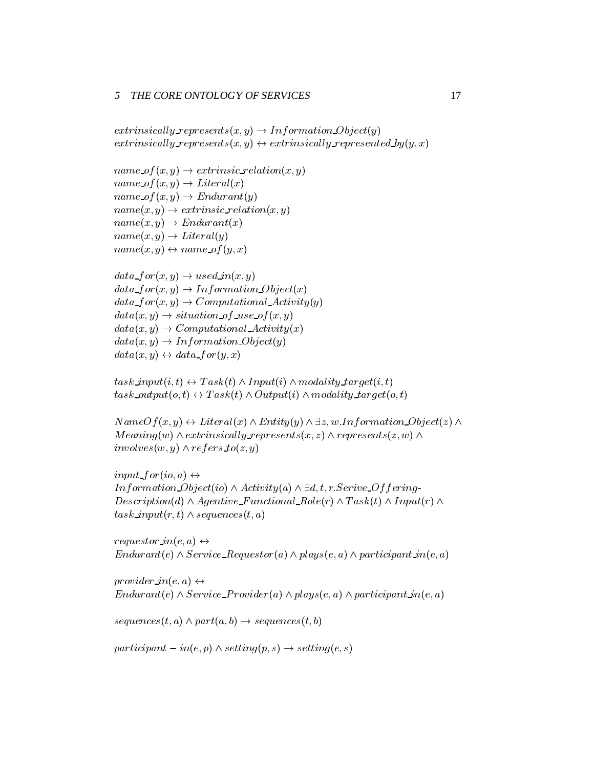### 5 THE CORE ONTOLOGY OF SERVICES 17

 $extrinsically\_represents(x, y) \rightarrow Information\_Object(y)$  $extrinsically\_represents(x, y) \leftrightarrow extrinsically\_represented\_by(y, x)$ 

```
name\_of(x, y) \rightarrow extrinsic\_relation(x, y)name\_of(x, y) \rightarrow Literal(x)name\_of(x, y) \rightarrow Endurant(y)name(x, y) \rightarrow extrinsic\_relation(x, y)name(x, y) \rightarrow Endurant(x)name(x, y) \rightarrow Literal(y)name(x, y) \leftrightarrow name_of(y, x)
```

```
data\_for(x, y) \rightarrow used\_in(x, y)data\_for(x, y) \rightarrow Information\_Object(x)data\_for(x, y) \rightarrow Computational\_Activity(y)data(x, y) \rightarrow situation_of\_use_of(x, y)data(x, y) \rightarrow ComputationalActivity(x)data(x, y) \rightarrow Information\_Object(y)data(x, y) \leftrightarrow data\_for(y, x)
```
 $task\_input(i, t) \leftrightarrow Task(t) \land Input(i) \land modality\_target(i, t)$  $task\_output(o, t) \leftrightarrow Task(t) \land Output(i) \land modality\_target(o, t)$ 

```
NameOf(x, y) \leftrightarrow Literal(x) \wedge Entity(y) \wedge \exists z, w. Information\_Object(z) \wedgeMeaning(w) \wedge extrinsically\_represents(x, z) \wedge represents(z, w) \wedgeinvolves(w, y) \wedge refers\_to(z, y)
```

```
input\_for(io, a) \leftrightarrowInformation Object(io) \wedge Activity(a) \wedge \exists d, t, r. Service\_Offering-Description(d) \wedge Agentive_F unctional_Role(r) \wedge Task(t) \wedge Input(r) \wedgetask\_input(r, t) \wedge sequences(t, a)
```

```
requestor in(e, a) \leftrightarrowEndurant(e) \wedge Service\_{Requestor}(a) \wedge plays(e, a) \wedge participant\_in(e, a)
```

```
provider in(e, a) \leftrightarrowEndurant(e) \wedge Service\_Provider(a) \wedge plays(e, a) \wedge participant\_in(e, a)
```
 $sequences(t, a) \wedge part(a, b) \rightarrow sequences(t, b)$ 

 $participant - in(e, p) \wedge setting(p, s) \rightarrow setting(e, s)$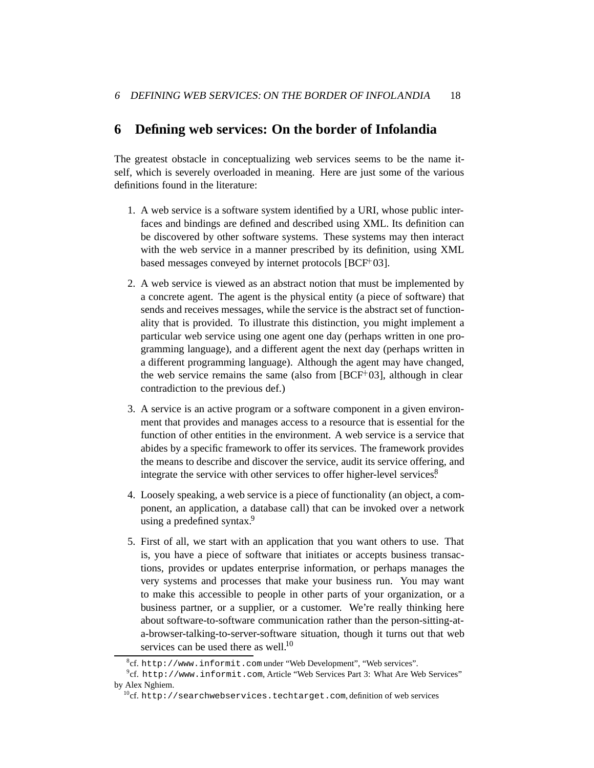### **6 Defining web services: On the border of Infolandia**

The greatest obstacle in conceptualizing web services seems to be the name itself, which is severely overloaded in meaning. Here are just some of the various definitions found in the literature:

- 1. A web service is a software system identified by a URI, whose public interfaces and bindings are defined and described using XML. Its definition can be discovered by other software systems. These systems may then interact with the web service in a manner prescribed by its definition, using XML based messages conveyed by internet protocols [BCF<sup>+</sup>03].
- 2. A web service is viewed as an abstract notion that must be implemented by a concrete agent. The agent is the physical entity (a piece of software) that sends and receives messages, while the service is the abstract set of functionality that is provided. To illustrate this distinction, you might implement a particular web service using one agent one day (perhaps written in one programming language), and a different agent the next day (perhaps written in a different programming language). Although the agent may have changed, the web service remains the same (also from [BCF<sup>+</sup> 03], although in clear contradiction to the previous def.)
- 3. A service is an active program or a software component in a given environment that provides and manages access to a resource that is essential for the function of other entities in the environment. A web service is a service that abides by a specific framework to offer its services. The framework provides the means to describe and discover the service, audit its service offering, and integrate the service with other services to offer higher-level services<sup>8</sup>
- 4. Loosely speaking, a web service is a piece of functionality (an object, a component, an application, a database call) that can be invoked over a network using a predefined syntax.<sup>9</sup>
- 5. First of all, we start with an application that you want others to use. That is, you have a piece of software that initiates or accepts business transactions, provides or updates enterprise information, or perhaps manages the very systems and processes that make your business run. You may want to make this accessible to people in other parts of your organization, or a business partner, or a supplier, or a customer. We're really thinking here about software-to-software communication rather than the person-sitting-ata-browser-talking-to-server-software situation, though it turns out that web services can be used there as well.<sup>10</sup>

<sup>8</sup> cf. http://www.informit.com under "Web Development", "Web services".

<sup>&</sup>lt;sup>9</sup>cf. http://www.informit.com, Article "Web Services Part 3: What Are Web Services" by Alex Nghiem.

 $10$ cf. http://searchwebservices.techtarget.com, definition of web services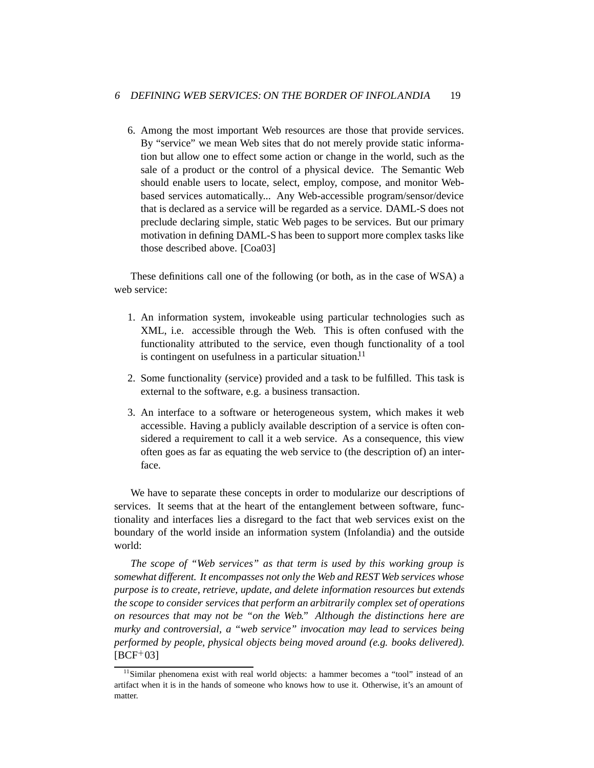6. Among the most important Web resources are those that provide services. By "service" we mean Web sites that do not merely provide static information but allow one to effect some action or change in the world, such as the sale of a product or the control of a physical device. The Semantic Web should enable users to locate, select, employ, compose, and monitor Webbased services automatically... Any Web-accessible program/sensor/device that is declared as a service will be regarded as a service. DAML-S does not preclude declaring simple, static Web pages to be services. But our primary motivation in defining DAML-S has been to support more complex tasks like those described above. [Coa03]

These definitions call one of the following (or both, as in the case of WSA) a web service:

- 1. An information system, invokeable using particular technologies such as XML, i.e. accessible through the Web. This is often confused with the functionality attributed to the service, even though functionality of a tool is contingent on usefulness in a particular situation.<sup>11</sup>
- 2. Some functionality (service) provided and a task to be fulfilled. This task is external to the software, e.g. a business transaction.
- 3. An interface to a software or heterogeneous system, which makes it web accessible. Having a publicly available description of a service is often considered a requirement to call it a web service. As a consequence, this view often goes as far as equating the web service to (the description of) an interface.

We have to separate these concepts in order to modularize our descriptions of services. It seems that at the heart of the entanglement between software, functionality and interfaces lies a disregard to the fact that web services exist on the boundary of the world inside an information system (Infolandia) and the outside world:

*The scope of "Web services" as that term is used by this working group is somewhat different. It encompasses not only the Web and REST Web services whose purpose is to create, retrieve, update, and delete information resources but extends the scope to consider services that perform an arbitrarily complex set of operations on resources that may not be "on the Web." Although the distinctions here are murky and controversial, a "web service" invocation may lead to services being performed by people, physical objects being moved around (e.g. books delivered).*  $[BCF^+03]$ 

 $11$ Similar phenomena exist with real world objects: a hammer becomes a "tool" instead of an artifact when it is in the hands of someone who knows how to use it. Otherwise, it's an amount of matter.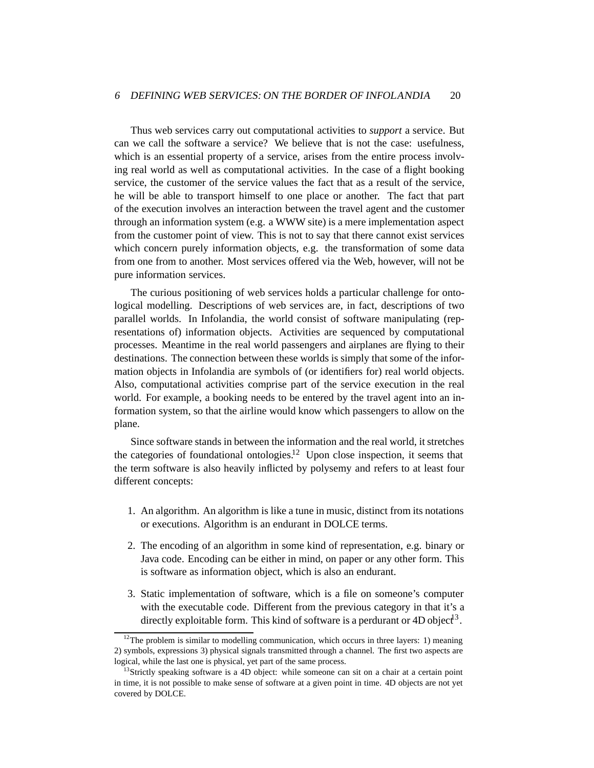Thus web services carry out computational activities to *support* a service. But can we call the software a service? We believe that is not the case: usefulness, which is an essential property of a service, arises from the entire process involving real world as well as computational activities. In the case of a flight booking service, the customer of the service values the fact that as a result of the service, he will be able to transport himself to one place or another. The fact that part of the execution involves an interaction between the travel agent and the customer through an information system (e.g. a WWW site) is a mere implementation aspect from the customer point of view. This is not to say that there cannot exist services which concern purely information objects, e.g. the transformation of some data from one from to another. Most services offered via the Web, however, will not be pure information services.

The curious positioning of web services holds a particular challenge for ontological modelling. Descriptions of web services are, in fact, descriptions of two parallel worlds. In Infolandia, the world consist of software manipulating (representations of) information objects. Activities are sequenced by computational processes. Meantime in the real world passengers and airplanes are flying to their destinations. The connection between these worlds is simply that some of the information objects in Infolandia are symbols of (or identifiers for) real world objects. Also, computational activities comprise part of the service execution in the real world. For example, a booking needs to be entered by the travel agent into an information system, so that the airline would know which passengers to allow on the plane.

Since software stands in between the information and the real world, it stretches the categories of foundational ontologies.<sup>12</sup> Upon close inspection, it seems that the term software is also heavily inflicted by polysemy and refers to at least four different concepts:

- 1. An algorithm. An algorithm is like a tune in music, distinct from its notations or executions. Algorithm is an endurant in DOLCE terms.
- 2. The encoding of an algorithm in some kind of representation, e.g. binary or Java code. Encoding can be either in mind, on paper or any other form. This is software as information object, which is also an endurant.
- 3. Static implementation of software, which is a file on someone's computer with the executable code. Different from the previous category in that it's a directly exploitable form. This kind of software is a perdurant or  $4D$  object<sup>13</sup>.

 $12$ The problem is similar to modelling communication, which occurs in three layers: 1) meaning 2) symbols, expressions 3) physical signals transmitted through a channel. The first two aspects are logical, while the last one is physical, yet part of the same process.

<sup>&</sup>lt;sup>13</sup>Strictly speaking software is a 4D object: while someone can sit on a chair at a certain point in time, it is not possible to make sense of software at a given point in time. 4D objects are not yet covered by DOLCE.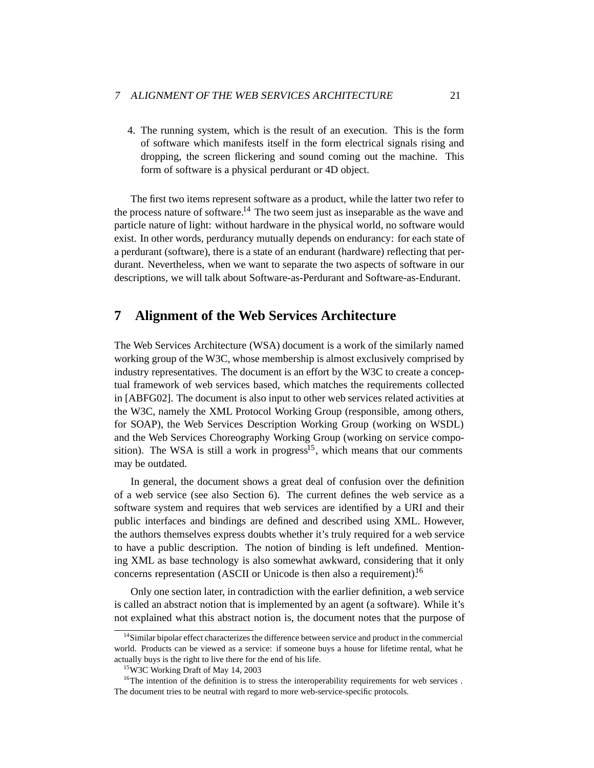4. The running system, which is the result of an execution. This is the form of software which manifests itself in the form electrical signals rising and dropping, the screen flickering and sound coming out the machine. This form of software is a physical perdurant or 4D object.

The first two items represent software as a product, while the latter two refer to the process nature of software.<sup>14</sup> The two seem just as inseparable as the wave and particle nature of light: without hardware in the physical world, no software would exist. In other words, perdurancy mutually depends on endurancy: for each state of a perdurant (software), there is a state of an endurant (hardware) reflecting that perdurant. Nevertheless, when we want to separate the two aspects of software in our descriptions, we will talk about Software-as-Perdurant and Software-as-Endurant.

# **7 Alignment of the Web Services Architecture**

The Web Services Architecture (WSA) document is a work of the similarly named working group of the W3C, whose membership is almost exclusively comprised by industry representatives. The document is an effort by the W3C to create a conceptual framework of web services based, which matches the requirements collected in [ABFG02]. The document is also input to other web services related activities at the W3C, namely the XML Protocol Working Group (responsible, among others, for SOAP), the Web Services Description Working Group (working on WSDL) and the Web Services Choreography Working Group (working on service composition). The WSA is still a work in progress<sup>15</sup>, which means that our comments may be outdated.

In general, the document shows a great deal of confusion over the definition of a web service (see also Section 6). The current defines the web service as a software system and requires that web services are identified by a URI and their public interfaces and bindings are defined and described using XML. However, the authors themselves express doubts whether it's truly required for a web service to have a public description. The notion of binding is left undefined. Mentioning XML as base technology is also somewhat awkward, considering that it only concerns representation (ASCII or Unicode is then also a requirement).<sup>16</sup>

Only one section later, in contradiction with the earlier definition, a web service is called an abstract notion that is implemented by an agent (a software). While it's not explained what this abstract notion is, the document notes that the purpose of

<sup>&</sup>lt;sup>14</sup>Similar bipolar effect characterizes the difference between service and product in the commercial world. Products can be viewed as a service: if someone buys a house for lifetime rental, what he actually buys is the right to live there for the end of his life.

<sup>15</sup>W3C Working Draft of May 14, 2003

<sup>&</sup>lt;sup>16</sup>The intention of the definition is to stress the interoperability requirements for web services. The document tries to be neutral with regard to more web-service-specific protocols.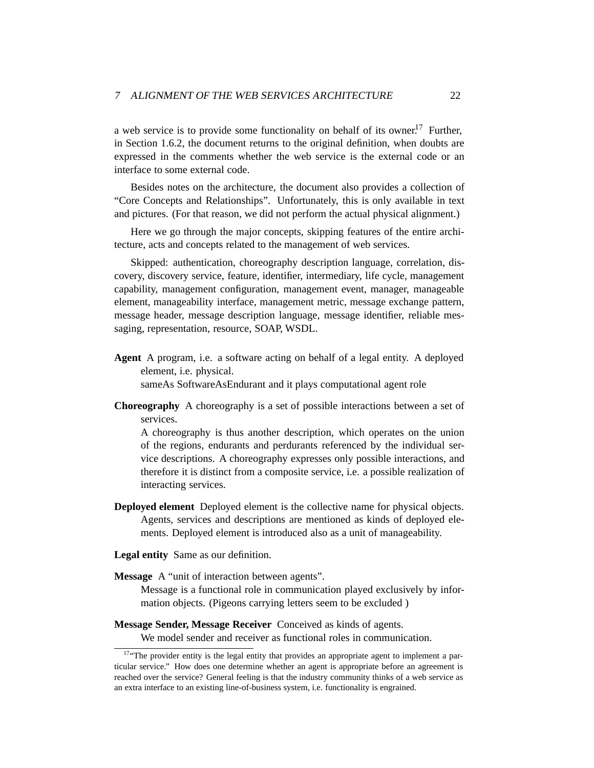a web service is to provide some functionality on behalf of its owner.<sup>17</sup> Further, in Section 1.6.2, the document returns to the original definition, when doubts are expressed in the comments whether the web service is the external code or an interface to some external code.

Besides notes on the architecture, the document also provides a collection of "Core Concepts and Relationships". Unfortunately, this is only available in text and pictures. (For that reason, we did not perform the actual physical alignment.)

Here we go through the major concepts, skipping features of the entire architecture, acts and concepts related to the management of web services.

Skipped: authentication, choreography description language, correlation, discovery, discovery service, feature, identifier, intermediary, life cycle, management capability, management configuration, management event, manager, manageable element, manageability interface, management metric, message exchange pattern, message header, message description language, message identifier, reliable messaging, representation, resource, SOAP, WSDL.

**Agent** A program, i.e. a software acting on behalf of a legal entity. A deployed element, i.e. physical.

sameAs SoftwareAsEndurant and it plays computational agent role

**Choreography** A choreography is a set of possible interactions between a set of services.

A choreography is thus another description, which operates on the union of the regions, endurants and perdurants referenced by the individual service descriptions. A choreography expresses only possible interactions, and therefore it is distinct from a composite service, i.e. a possible realization of interacting services.

**Deployed element** Deployed element is the collective name for physical objects. Agents, services and descriptions are mentioned as kinds of deployed elements. Deployed element is introduced also as a unit of manageability.

**Legal entity** Same as our definition.

**Message** A "unit of interaction between agents".

Message is a functional role in communication played exclusively by information objects. (Pigeons carrying letters seem to be excluded )

### **Message Sender, Message Receiver** Conceived as kinds of agents.

We model sender and receiver as functional roles in communication.

 $17$ <sup>47</sup> The provider entity is the legal entity that provides an appropriate agent to implement a particular service." How does one determine whether an agent is appropriate before an agreement is reached over the service? General feeling is that the industry community thinks of a web service as an extra interface to an existing line-of-business system, i.e. functionality is engrained.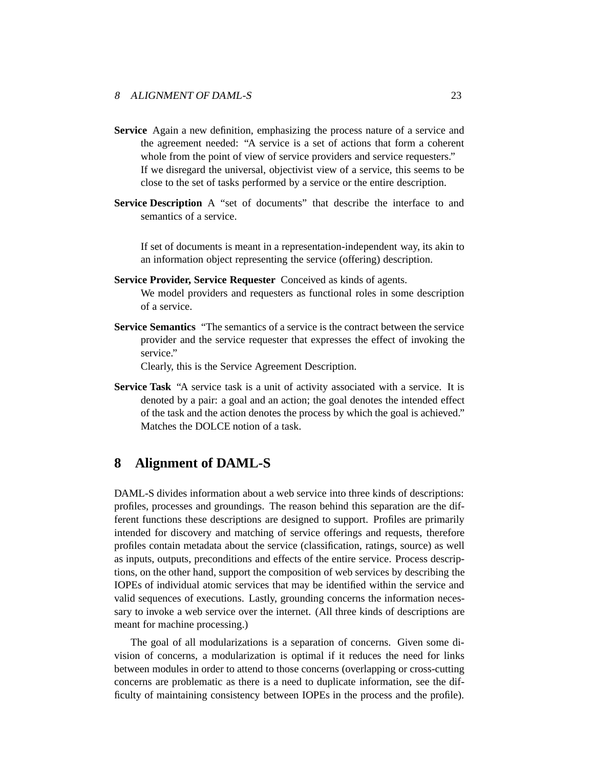- **Service** Again a new definition, emphasizing the process nature of a service and the agreement needed: "A service is a set of actions that form a coherent whole from the point of view of service providers and service requesters." If we disregard the universal, objectivist view of a service, this seems to be close to the set of tasks performed by a service or the entire description.
- **Service Description** A "set of documents" that describe the interface to and semantics of a service.

If set of documents is meant in a representation-independent way, its akin to an information object representing the service (offering) description.

- **Service Provider, Service Requester** Conceived as kinds of agents. We model providers and requesters as functional roles in some description of a service.
- **Service Semantics** "The semantics of a service is the contract between the service provider and the service requester that expresses the effect of invoking the service."

Clearly, this is the Service Agreement Description.

**Service Task** "A service task is a unit of activity associated with a service. It is denoted by a pair: a goal and an action; the goal denotes the intended effect of the task and the action denotes the process by which the goal is achieved." Matches the DOLCE notion of a task.

### **8 Alignment of DAML-S**

DAML-S divides information about a web service into three kinds of descriptions: profiles, processes and groundings. The reason behind this separation are the different functions these descriptions are designed to support. Profiles are primarily intended for discovery and matching of service offerings and requests, therefore profiles contain metadata about the service (classification, ratings, source) as well as inputs, outputs, preconditions and effects of the entire service. Process descriptions, on the other hand, support the composition of web services by describing the IOPEs of individual atomic services that may be identified within the service and valid sequences of executions. Lastly, grounding concerns the information necessary to invoke a web service over the internet. (All three kinds of descriptions are meant for machine processing.)

The goal of all modularizations is a separation of concerns. Given some division of concerns, a modularization is optimal if it reduces the need for links between modules in order to attend to those concerns (overlapping or cross-cutting concerns are problematic as there is a need to duplicate information, see the difficulty of maintaining consistency between IOPEs in the process and the profile).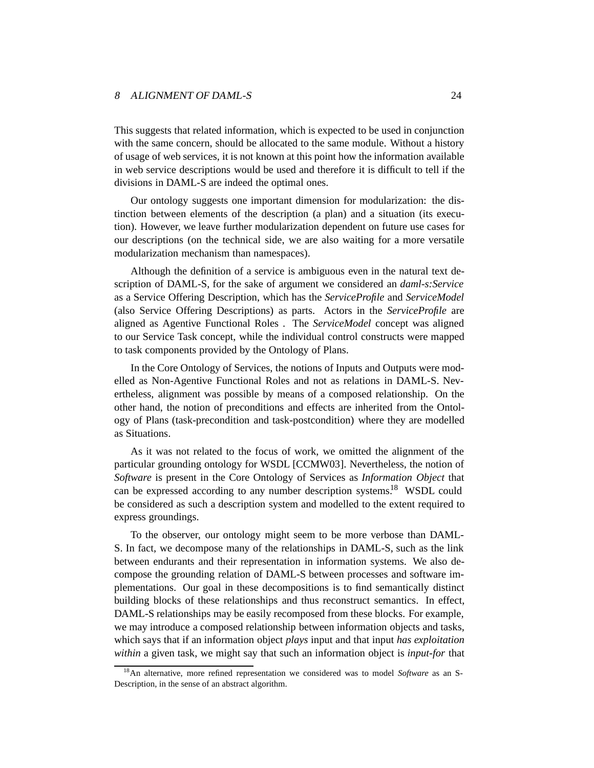### 8 ALIGNMENT OF DAML-S 24

This suggests that related information, which is expected to be used in conjunction with the same concern, should be allocated to the same module. Without a history of usage of web services, it is not known at this point how the information available in web service descriptions would be used and therefore it is difficult to tell if the divisions in DAML-S are indeed the optimal ones.

Our ontology suggests one important dimension for modularization: the distinction between elements of the description (a plan) and a situation (its execution). However, we leave further modularization dependent on future use cases for our descriptions (on the technical side, we are also waiting for a more versatile modularization mechanism than namespaces).

Although the definition of a service is ambiguous even in the natural text description of DAML-S, for the sake of argument we considered an *daml-s:Service* as a Service Offering Description, which has the *ServiceProfile* and *ServiceModel* (also Service Offering Descriptions) as parts. Actors in the *ServiceProfile* are aligned as Agentive Functional Roles . The *ServiceModel* concept was aligned to our Service Task concept, while the individual control constructs were mapped to task components provided by the Ontology of Plans.

In the Core Ontology of Services, the notions of Inputs and Outputs were modelled as Non-Agentive Functional Roles and not as relations in DAML-S. Nevertheless, alignment was possible by means of a composed relationship. On the other hand, the notion of preconditions and effects are inherited from the Ontology of Plans (task-precondition and task-postcondition) where they are modelled as Situations.

As it was not related to the focus of work, we omitted the alignment of the particular grounding ontology for WSDL [CCMW03]. Nevertheless, the notion of *Software* is present in the Core Ontology of Services as *Information Object* that can be expressed according to any number description systems.<sup>18</sup> WSDL could be considered as such a description system and modelled to the extent required to express groundings.

To the observer, our ontology might seem to be more verbose than DAML-S. In fact, we decompose many of the relationships in DAML-S, such as the link between endurants and their representation in information systems. We also decompose the grounding relation of DAML-S between processes and software implementations. Our goal in these decompositions is to find semantically distinct building blocks of these relationships and thus reconstruct semantics. In effect, DAML-S relationships may be easily recomposed from these blocks. For example, we may introduce a composed relationship between information objects and tasks, which says that if an information object *plays* input and that input *has exploitation within* a given task, we might say that such an information object is *input-for* that

<sup>18</sup>An alternative, more refined representation we considered was to model *Software* as an S-Description, in the sense of an abstract algorithm.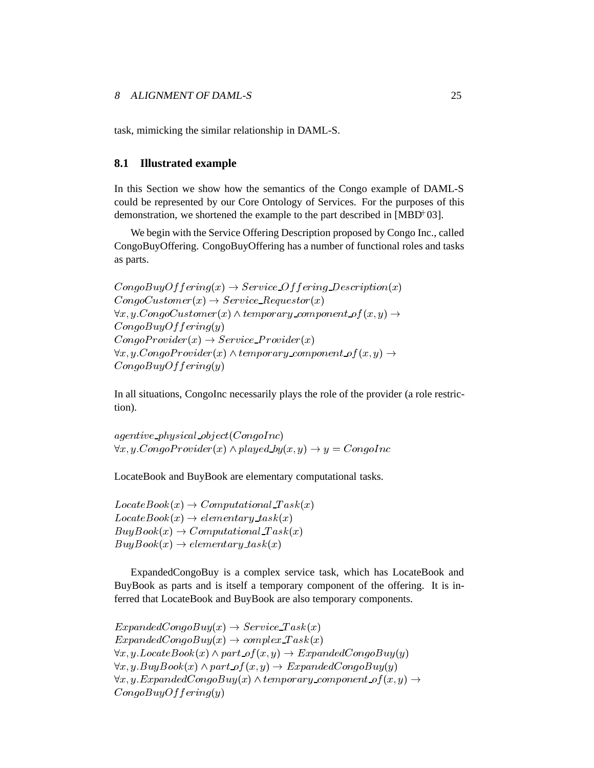### 8 ALIGNMENT OF DAML-S 25

task, mimicking the similar relationship in DAML-S.

#### **8.1 Illustrated example**

In this Section we show how the semantics of the Congo example of DAML-S could be represented by our Core Ontology of Services. For the purposes of this demonstration, we shortened the example to the part described in  $[MBD^+03]$ .

We begin with the Service Offering Description proposed by Congo Inc., called CongoBuyOffering. CongoBuyOffering has a number of functional roles and tasks as parts.

```
CongoBuyOffering(x) \rightarrow Service\_Offering\_Description(x)ConqoCustomer(x) \rightarrow Service\_{Requestor(x)}\forall x, y. CongoCustomer(x) \land temporary\_component_of(x, y) \rightarrowConqoBuyOffering(y)ConqoProvider(x) \rightarrow Service\_Provider(x)\forall x, y. Congo Provider(x) \wedge temporary\_component_of(x, y) \rightarrowCongoBuyOffering(y)
```
In all situations, CongoInc necessarily plays the role of the provider (a role restriction).

 $agentive\_physical\_object(CongoInc)$  $\forall x, y. Congo Provider(x) \land played_by(x, y) \rightarrow y = CongoInc$ 

LocateBook and BuyBook are elementary computational tasks.

 $LocateBook(x) \rightarrow ComputationalTask(x)$  $LocateBook(x) \rightarrow elementary\_task(x)$  $BuyBook(x) \rightarrow ComputationalTask(x)$  $BuyBook(x) \rightarrow elementary\_task(x)$ 

ExpandedCongoBuy is a complex service task, which has LocateBook and BuyBook as parts and is itself a temporary component of the offering. It is inferred that LocateBook and BuyBook are also temporary components.

 $Expanded CongoBuy(x) \rightarrow Service\_Task(x)$  $Expanded CongoBuy(x) \rightarrow complex\_Task(x)$  $\forall x, y. LocateBook(x) \land part_of(x, y) \rightarrow Expanded CongoBuy(y)$  $\forall x, y. BuyBook(x) \land part_of(x, y) \rightarrow Expanded CongoBuy(y)$  $\forall x, y. Expanded CongoBuy(x) \wedge temporary\_component_of(x, y) \rightarrow$  $CongoBuyOffering(y)$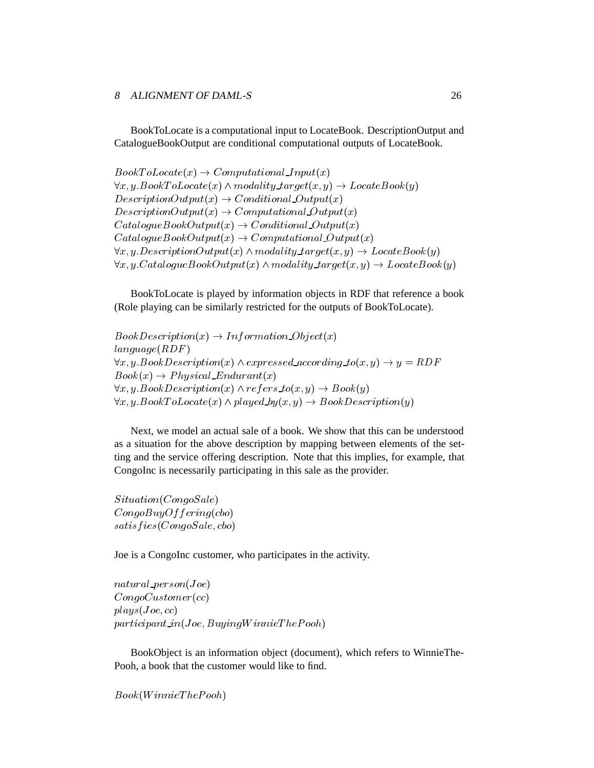#### 8 ALIGNMENT OF DAML-S 26

BookToLocate is a computational input to LocateBook. DescriptionOutput and CatalogueBookOutput are conditional computational outputs of LocateBook.

```
BookToLocate(x) \rightarrow Computational\_Input(x)\forall x, y. BookToLocate(x) \land modality\_target(x, y) \rightarrow LocateBook(y)DescriptionOutput(x) \rightarrow Conditional\_Output(x)DescriptionOutput(x) \rightarrow Computational\_Output(x)CatalogueBookOutput(x) \rightarrow Conditional\_Output(x)CatalogueBookOutput(x) \rightarrow ComputationalOutput(x)\forall x, y. Description Output(x) \land modality\_target(x, y) \rightarrow LocateBook(y)\forall x, y. Catalogue BookOutput(x) \land modality\_target(x, y) \rightarrow LocateBook(y)
```
BookToLocate is played by information objects in RDF that reference a book (Role playing can be similarly restricted for the outputs of BookToLocate).

```
BookDescription(x) \rightarrow InformationObject(x)language(RDF)\forall x, y. BookDescription(x) \land expressed\_according\_to(x, y) \rightarrow y = RDFBook(x) \rightarrow Physical\_Endurant(x)\forall x, y. BookDescription(x) \land refers \text{\texttt{to}}(x, y) \rightarrow Book(y)\forall x, y. BookToLocate(x) \land played_by(x, y) \rightarrow BookDescription(y)
```
Next, we model an actual sale of a book. We show that this can be understood as a situation for the above description by mapping between elements of the setting and the service offering description. Note that this implies, for example, that CongoInc is necessarily participating in this sale as the provider.

Situation(CongoSale)  $CongoBuyOffering(cho)$ satisf ies(CongoSale; cbo)

Joe is a CongoInc customer, who participates in the activity.

 $natural\_person(Joe)$ CongoCustomer(cc)  $plays(Joe, cc)$  $partition(Joe, BuyingWinnieThe Pooh)$ 

BookObject is an information object (document), which refers to WinnieThe-Pooh, a book that the customer would like to find.

 $Book(WinnieThe Pooh)$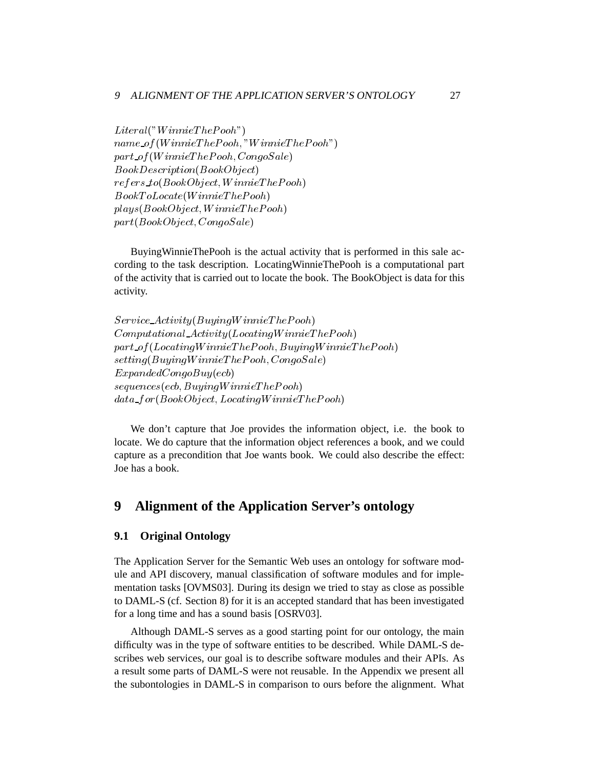$Literal("WinnieThe Pooh")$  $name_of(Winine The Pooh, "Winine The Pooh")$  $part\_of (W in nie The Pooh, Congo Sale)$ BookDescription(BookObject)  $refers_to(BookObject, WinnieThe Pooh)$  $BookToLocate(W in nieThe Pooh)$  $plays(BookObject,WinnieThe Pooh)$  $part(BookObject, ConqoSale)$ 

BuyingWinnieThePooh is the actual activity that is performed in this sale according to the task description. LocatingWinnieThePooh is a computational part of the activity that is carried out to locate the book. The BookObject is data for this activity.

 $Service\_Activity(BuyingWinnieThe Pooh)$  $Computational\_Activity(LocatingWinnieThe Pooh)$  $part\_of (LocatingWinnieThe Pooh, BuyingWinnieThe Pooh)$  $setting(BuyingWinnieThe Pooh, Congo Sale)$  $ExpandedConqoBuy(ecb)$  $sequences(echo, BuyingWinnieThe Pooh)$  $data\_for(BookObject, LocatingWinnieThe Pooh)$ 

We don't capture that Joe provides the information object, i.e. the book to locate. We do capture that the information object references a book, and we could capture as a precondition that Joe wants book. We could also describe the effect: Joe has a book.

## **9 Alignment of the Application Server's ontology**

### **9.1 Original Ontology**

The Application Server for the Semantic Web uses an ontology for software module and API discovery, manual classification of software modules and for implementation tasks [OVMS03]. During its design we tried to stay as close as possible to DAML-S (cf. Section 8) for it is an accepted standard that has been investigated for a long time and has a sound basis [OSRV03].

Although DAML-S serves as a good starting point for our ontology, the main difficulty was in the type of software entities to be described. While DAML-S describes web services, our goal is to describe software modules and their APIs. As a result some parts of DAML-S were not reusable. In the Appendix we present all the subontologies in DAML-S in comparison to ours before the alignment. What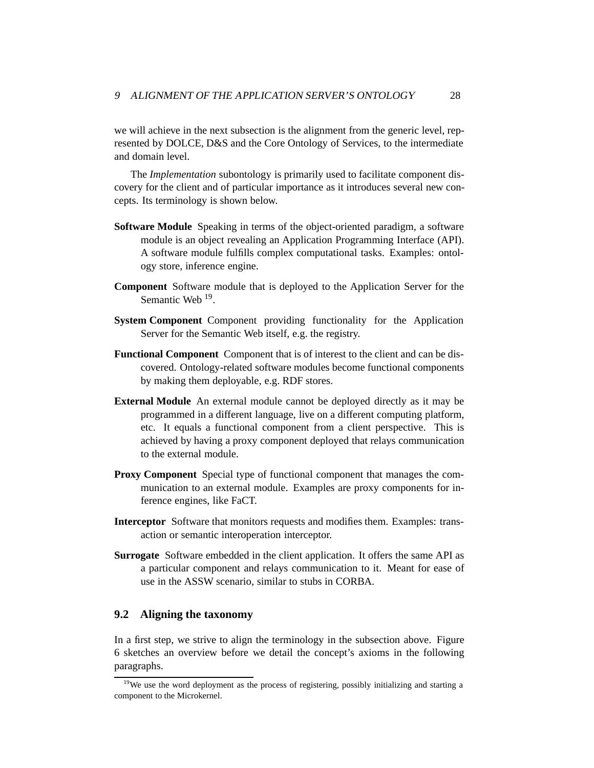we will achieve in the next subsection is the alignment from the generic level, represented by DOLCE, D&S and the Core Ontology of Services, to the intermediate and domain level.

The *Implementation* subontology is primarily used to facilitate component discovery for the client and of particular importance as it introduces several new concepts. Its terminology is shown below.

- **Software Module** Speaking in terms of the object-oriented paradigm, a software module is an object revealing an Application Programming Interface (API). A software module fulfills complex computational tasks. Examples: ontology store, inference engine.
- **Component** Software module that is deployed to the Application Server for the Semantic Web<sup>19</sup>.
- **System Component** Component providing functionality for the Application Server for the Semantic Web itself, e.g. the registry.
- **Functional Component** Component that is of interest to the client and can be discovered. Ontology-related software modules become functional components by making them deployable, e.g. RDF stores.
- **External Module** An external module cannot be deployed directly as it may be programmed in a different language, live on a different computing platform, etc. It equals a functional component from a client perspective. This is achieved by having a proxy component deployed that relays communication to the external module.
- **Proxy Component** Special type of functional component that manages the communication to an external module. Examples are proxy components for inference engines, like FaCT.
- **Interceptor** Software that monitors requests and modifies them. Examples: transaction or semantic interoperation interceptor.
- **Surrogate** Software embedded in the client application. It offers the same API as a particular component and relays communication to it. Meant for ease of use in the ASSW scenario, similar to stubs in CORBA.

### **9.2 Aligning the taxonomy**

In a first step, we strive to align the terminology in the subsection above. Figure 6 sketches an overview before we detail the concept's axioms in the following paragraphs.

<sup>&</sup>lt;sup>19</sup>We use the word deployment as the process of registering, possibly initializing and starting a component to the Microkernel.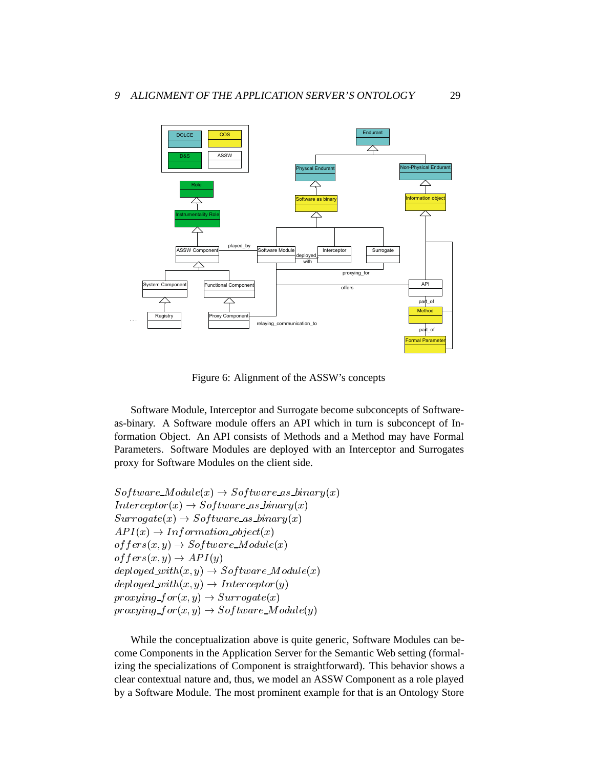

Figure 6: Alignment of the ASSW's concepts

Software Module, Interceptor and Surrogate become subconcepts of Softwareas-binary. A Software module offers an API which in turn is subconcept of Information Object. An API consists of Methods and a Method may have Formal Parameters. Software Modules are deployed with an Interceptor and Surrogates proxy for Software Modules on the client side.

```
Software\_Module(x) \rightarrow Software\_as\_binary(x)Interceptor(x) \rightarrow Software\_as\_binary(x)Surface(x) \rightarrow Software\_as\_binary(x)API(x) \rightarrow Information\_object(x)of fers(x, y) \rightarrow Software\_Module(x)offseters(x, y) \rightarrow API(y)deploved\_with(x, y) \rightarrow Software\_Module(x)deployed\_with(x, y) \rightarrow Interceptor(y)proxying\_for(x, y) \rightarrow Surface(x)proxying\_for(x, y) \rightarrow Software\_Module(y)
```
While the conceptualization above is quite generic, Software Modules can become Components in the Application Server for the Semantic Web setting (formalizing the specializations of Component is straightforward). This behavior shows a clear contextual nature and, thus, we model an ASSW Component as a role played by a Software Module. The most prominent example for that is an Ontology Store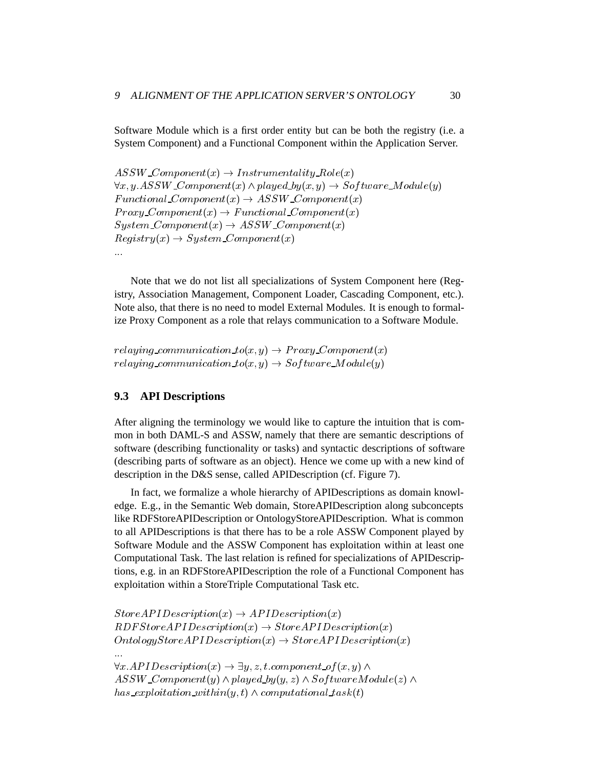Software Module which is a first order entity but can be both the registry (i.e. a System Component) and a Functional Component within the Application Server.

```
ASSW\_Component(x) \rightarrow Instrumentality\_Role(x)\forall x, y. ASSW\_{Component}(x) \land played_by(x, y) \rightarrow Software\_Module(y)Functional\_Component(x) \rightarrow ASSW\_Component(x)Proxy\_Component(x) \rightarrow Functional\_Component(x)System\_Component(x) \rightarrow ASSW\_Component(x)Registry(x) \rightarrow System\_Component(x)
```
Note that we do not list all specializations of System Component here (Registry, Association Management, Component Loader, Cascading Component, etc.). Note also, that there is no need to model External Modules. It is enough to formalize Proxy Component as a role that relays communication to a Software Module.

```
relaying\_communication\_to(x, y) \rightarrow Proxy\_Component(x)relaying\_communication\_to(x, y) \rightarrow Software\_Module(y)
```
### **9.3 API Descriptions**

After aligning the terminology we would like to capture the intuition that is common in both DAML-S and ASSW, namely that there are semantic descriptions of software (describing functionality or tasks) and syntactic descriptions of software (describing parts of software as an object). Hence we come up with a new kind of description in the D&S sense, called APIDescription (cf. Figure 7).

In fact, we formalize a whole hierarchy of APIDescriptions as domain knowledge. E.g., in the Semantic Web domain, StoreAPIDescription along subconcepts like RDFStoreAPIDescription or OntologyStoreAPIDescription. What is common to all APIDescriptions is that there has to be a role ASSW Component played by Software Module and the ASSW Component has exploitation within at least one Computational Task. The last relation is refined for specializations of APIDescriptions, e.g. in an RDFStoreAPIDescription the role of a Functional Component has exploitation within a StoreTriple Computational Task etc.

```
Store API Description(x) \rightarrow API Description(x)RDFStore API Description(x) \rightarrow Store API Description(x)OntologyStore API Description(x) \rightarrow Store API Description(x)\ddotsc\forall x. API Description(x) \rightarrow \exists y, z, t. component\_of(x, y) \landASSW\_Component(y) \wedge played_by(y, z) \wedge SoftwareModule(z) \wedgehas exploitation within(y, t) \wedge computational\_task(t)
```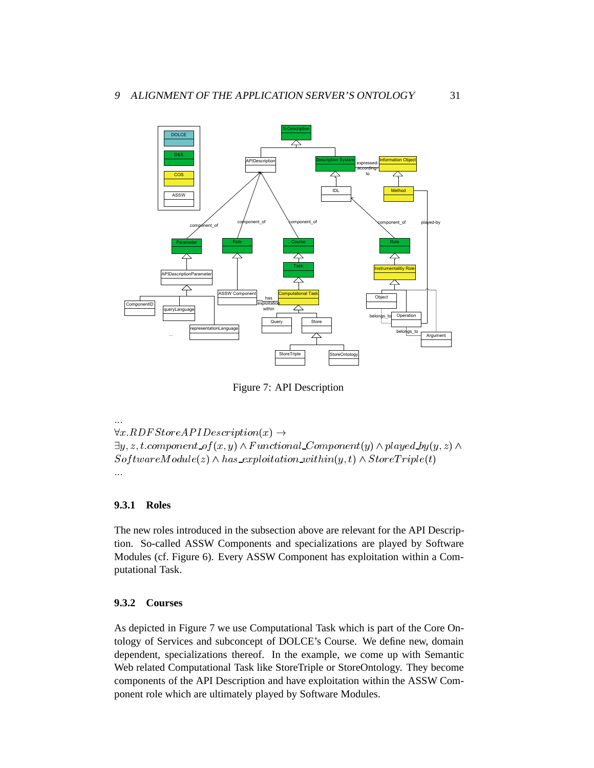

Figure 7: API Description

 $\forall x. RDFStore API Description(x) \rightarrow$  $\exists y, z, t. component\_of(x, y) \wedge Functional\_Component(y) \wedge played\_by(y, z) \wedge$  $SoftwareModule(z) \wedge has\_exploitation\_within(y, t) \wedge StoreTriple(t)$ :::

### **9.3.1 Roles**

The new roles introduced in the subsection above are relevant for the API Description. So-called ASSW Components and specializations are played by Software Modules (cf. Figure 6). Every ASSW Component has exploitation within a Computational Task.

### **9.3.2 Courses**

As depicted in Figure 7 we use Computational Task which is part of the Core Ontology of Services and subconcept of DOLCE's Course. We define new, domain dependent, specializations thereof. In the example, we come up with Semantic Web related Computational Task like StoreTriple or StoreOntology. They become components of the API Description and have exploitation within the ASSW Component role which are ultimately played by Software Modules.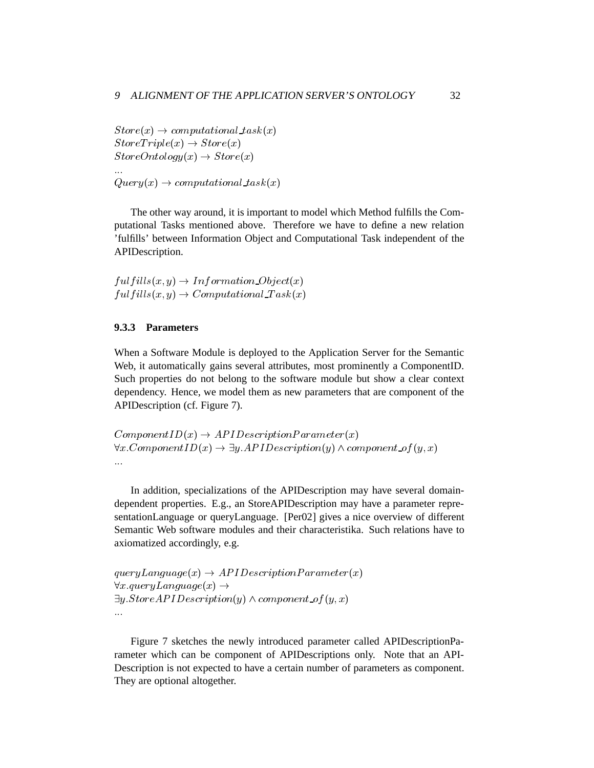$Store(x) \rightarrow computational\_task(x)$  $StoreTriple(x) \rightarrow Store(x)$  $StoreOntology(x) \rightarrow Store(x)$  $Query(x) \rightarrow computational\_task(x)$ 

The other way around, it is important to model which Method fulfills the Computational Tasks mentioned above. Therefore we have to define a new relation 'fulfills' between Information Object and Computational Task independent of the APIDescription.

 $fulls(x, y) \rightarrow Information\_Object(x)$  $fulfills(x, y) \rightarrow Computational. Task(x)$ 

### **9.3.3 Parameters**

When a Software Module is deployed to the Application Server for the Semantic Web, it automatically gains several attributes, most prominently a ComponentID. Such properties do not belong to the software module but show a clear context dependency. Hence, we model them as new parameters that are component of the APIDescription (cf. Figure 7).

 $ComponentID(x) \rightarrow APIDescriptionParameter(x)$  $\forall x. ComponentID(x) \rightarrow \exists y. APIDescription(y) \wedge component_of(y,x)$ :::

In addition, specializations of the APIDescription may have several domaindependent properties. E.g., an StoreAPIDescription may have a parameter representationLanguage or queryLanguage. [Per02] gives a nice overview of different Semantic Web software modules and their characteristika. Such relations have to axiomatized accordingly, e.g.

```
queryLanguage(x) \rightarrow APIDescriptionParameter(x)\forall x. queryLanguage(x) \rightarrow\exists y. Store API Description(y) \wedge component_of(y, x)\dddotsc
```
Figure 7 sketches the newly introduced parameter called APIDescriptionParameter which can be component of APIDescriptions only. Note that an API-Description is not expected to have a certain number of parameters as component. They are optional altogether.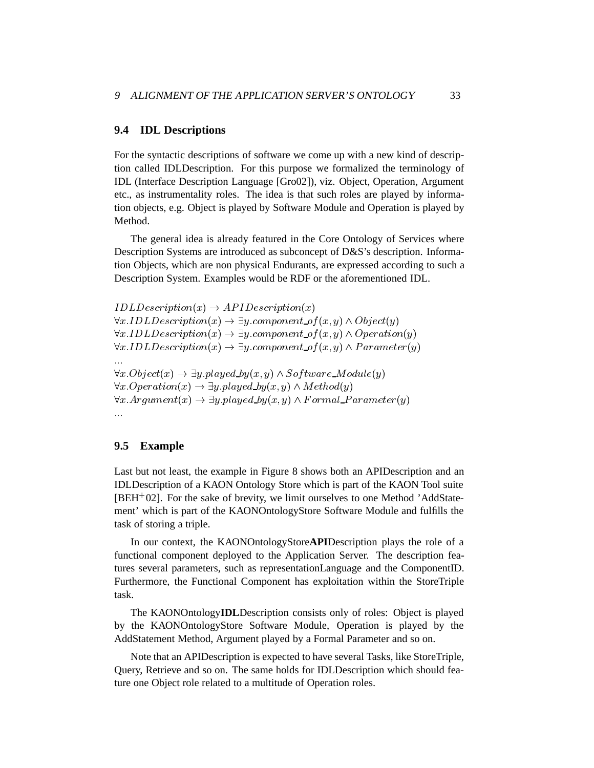### **9.4 IDL Descriptions**

For the syntactic descriptions of software we come up with a new kind of description called IDLDescription. For this purpose we formalized the terminology of IDL (Interface Description Language [Gro02]), viz. Object, Operation, Argument etc., as instrumentality roles. The idea is that such roles are played by information objects, e.g. Object is played by Software Module and Operation is played by Method.

The general idea is already featured in the Core Ontology of Services where Description Systems are introduced as subconcept of D&S's description. Information Objects, which are non physical Endurants, are expressed according to such a Description System. Examples would be RDF or the aforementioned IDL.

 $IDLDescription(x) \rightarrow APIDescription(x)$  $\forall x. IDLDescription(x) \rightarrow \exists y. component\_of(x, y) \land Object(y)$  $\forall x. IDLD description(x) \rightarrow \exists y. component\_of(x, y) \land Operation(y)$  $\forall x.IDLDescription(x) \rightarrow \exists y.compileof(x, y) \land Parameter(y)$  $\forall x. Object(x) \rightarrow \exists y. played_by(x, y) \land Software\_Module(y)$  $\forall x. Operation(x) \rightarrow \exists y. played\_by(x, y) \wedge Method(y)$  $\forall x. Argument(x) \rightarrow \exists y. played_by(x, y) \land Formal\_Parameter(y)$  $\ddotsc$ 

### **9.5 Example**

Last but not least, the example in Figure 8 shows both an APIDescription and an IDLDescription of a KAON Ontology Store which is part of the KAON Tool suite [BEH<sup>+</sup> 02]. For the sake of brevity, we limit ourselves to one Method 'AddStatement' which is part of the KAONOntologyStore Software Module and fulfills the task of storing a triple.

In our context, the KAONOntologyStore**API**Description plays the role of a functional component deployed to the Application Server. The description features several parameters, such as representationLanguage and the ComponentID. Furthermore, the Functional Component has exploitation within the StoreTriple task.

The KAONOntology**IDL**Description consists only of roles: Object is played by the KAONOntologyStore Software Module, Operation is played by the AddStatement Method, Argument played by a Formal Parameter and so on.

Note that an APIDescription is expected to have several Tasks, like StoreTriple, Query, Retrieve and so on. The same holds for IDLDescription which should feature one Object role related to a multitude of Operation roles.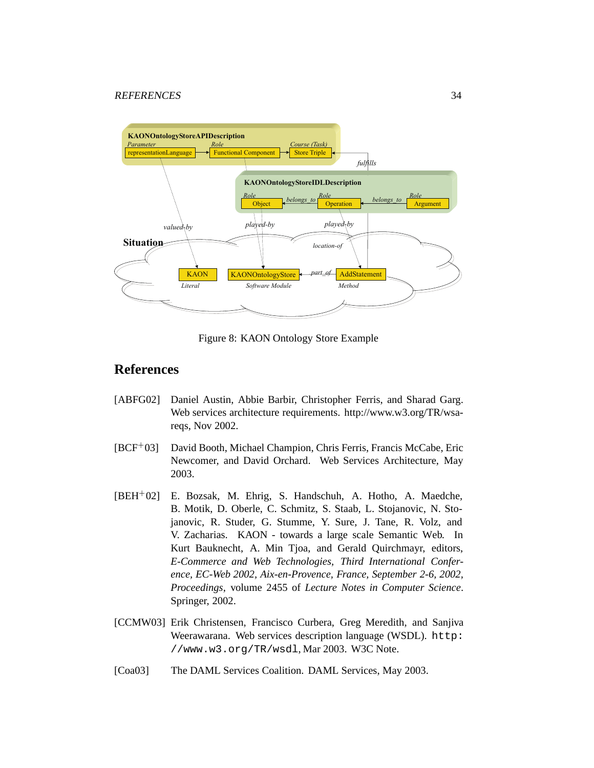

Figure 8: KAON Ontology Store Example

# **References**

- [ABFG02] Daniel Austin, Abbie Barbir, Christopher Ferris, and Sharad Garg. Web services architecture requirements. http://www.w3.org/TR/wsareqs, Nov 2002.
- $[BCF^+03]$ David Booth, Michael Champion, Chris Ferris, Francis McCabe, Eric Newcomer, and David Orchard. Web Services Architecture, May 2003.
- [BEH<sup>+</sup> 02] E. Bozsak, M. Ehrig, S. Handschuh, A. Hotho, A. Maedche, B. Motik, D. Oberle, C. Schmitz, S. Staab, L. Stojanovic, N. Stojanovic, R. Studer, G. Stumme, Y. Sure, J. Tane, R. Volz, and V. Zacharias. KAON - towards a large scale Semantic Web. In Kurt Bauknecht, A. Min Tjoa, and Gerald Quirchmayr, editors, *E-Commerce and Web Technologies, Third International Conference, EC-Web 2002, Aix-en-Provence, France, September 2-6, 2002, Proceedings*, volume 2455 of *Lecture Notes in Computer Science*. Springer, 2002.
- [CCMW03] Erik Christensen, Francisco Curbera, Greg Meredith, and Sanjiva Weerawarana. Web services description language (WSDL). http: //www.w3.org/TR/wsdl, Mar 2003. W3C Note.
- [Coa03] The DAML Services Coalition. DAML Services, May 2003.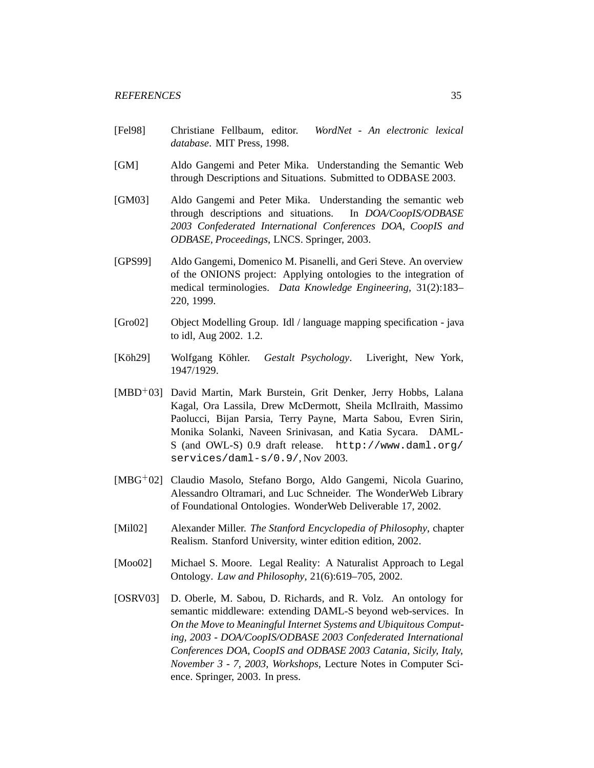- [Fel98] Christiane Fellbaum, editor. *WordNet An electronic lexical database*. MIT Press, 1998.
- [GM] Aldo Gangemi and Peter Mika. Understanding the Semantic Web through Descriptions and Situations. Submitted to ODBASE 2003.
- [GM03] Aldo Gangemi and Peter Mika. Understanding the semantic web through descriptions and situations. In *DOA/CoopIS/ODBASE 2003 Confederated International Conferences DOA, CoopIS and ODBASE, Proceedings*, LNCS. Springer, 2003.
- [GPS99] Aldo Gangemi, Domenico M. Pisanelli, and Geri Steve. An overview of the ONIONS project: Applying ontologies to the integration of medical terminologies. *Data Knowledge Engineering*, 31(2):183– 220, 1999.
- [Gro02] Object Modelling Group. Idl / language mapping specification java to idl, Aug 2002. 1.2.
- [Köh29] Wolfgang Köhler. *Gestalt Psychology*. Liveright, New York, 1947/1929.
- [MBD<sup>+</sup> 03] David Martin, Mark Burstein, Grit Denker, Jerry Hobbs, Lalana Kagal, Ora Lassila, Drew McDermott, Sheila McIlraith, Massimo Paolucci, Bijan Parsia, Terry Payne, Marta Sabou, Evren Sirin, Monika Solanki, Naveen Srinivasan, and Katia Sycara. DAML-S (and OWL-S) 0.9 draft release. http://www.daml.org/ services/daml-s/0.9/, Nov 2003.
- [MBG<sup>+</sup> 02] Claudio Masolo, Stefano Borgo, Aldo Gangemi, Nicola Guarino, Alessandro Oltramari, and Luc Schneider. The WonderWeb Library of Foundational Ontologies. WonderWeb Deliverable 17, 2002.
- [Mil02] Alexander Miller. *The Stanford Encyclopedia of Philosophy*, chapter Realism. Stanford University, winter edition edition, 2002.
- [Moo02] Michael S. Moore. Legal Reality: A Naturalist Approach to Legal Ontology. *Law and Philosophy*, 21(6):619–705, 2002.
- [OSRV03] D. Oberle, M. Sabou, D. Richards, and R. Volz. An ontology for semantic middleware: extending DAML-S beyond web-services. In *On the Move to Meaningful Internet Systems and Ubiquitous Computing, 2003 - DOA/CoopIS/ODBASE 2003 Confederated International Conferences DOA, CoopIS and ODBASE 2003 Catania, Sicily, Italy, November 3 - 7, 2003, Workshops*, Lecture Notes in Computer Science. Springer, 2003. In press.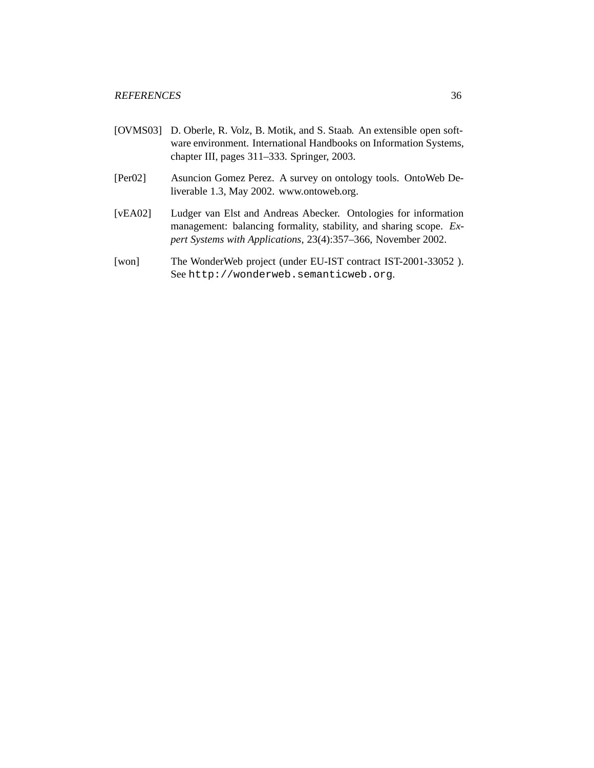- [OVMS03] D. Oberle, R. Volz, B. Motik, and S. Staab. An extensible open software environment. International Handbooks on Information Systems, chapter III, pages 311–333. Springer, 2003.
- [Per02] Asuncion Gomez Perez. A survey on ontology tools. OntoWeb Deliverable 1.3, May 2002. www.ontoweb.org.
- [vEA02] Ludger van Elst and Andreas Abecker. Ontologies for information management: balancing formality, stability, and sharing scope. *Expert Systems with Applications*, 23(4):357–366, November 2002.
- [won] The WonderWeb project (under EU-IST contract IST-2001-33052). See http://wonderweb.semanticweb.org.